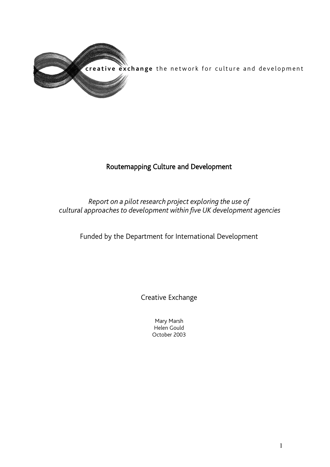

## Routemapping Culture and Development

## *Report on a pilot research project exploring the use of cultural approaches to development within five UK development agencies*

Funded by the Department for International Development

Creative Exchange

Mary Marsh Helen Gould October 2003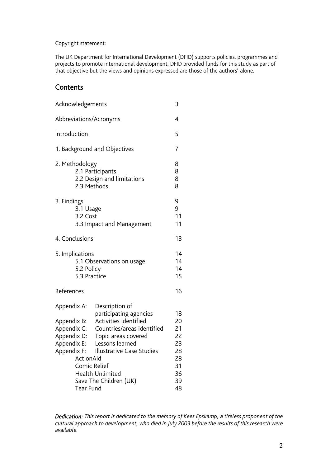Copyright statement:

The UK Department for International Development (DFID) supports policies, programmes and projects to promote international development. DFID provided funds for this study as part of that objective but the views and opinions expressed are those of the authors' alone.

## **Contents**

| Acknowledgements                                                                                                         |                                                                                                                                                                                                                                         |                                                                |  |
|--------------------------------------------------------------------------------------------------------------------------|-----------------------------------------------------------------------------------------------------------------------------------------------------------------------------------------------------------------------------------------|----------------------------------------------------------------|--|
| Abbreviations/Acronyms                                                                                                   |                                                                                                                                                                                                                                         |                                                                |  |
| Introduction                                                                                                             |                                                                                                                                                                                                                                         | 5                                                              |  |
|                                                                                                                          | 1. Background and Objectives                                                                                                                                                                                                            | 7                                                              |  |
| 2. Methodology<br>2.3 Methods                                                                                            | 2.1 Participants<br>2.2 Design and limitations                                                                                                                                                                                          | 8<br>8<br>8<br>8                                               |  |
| 3. Findings<br>3.1 Usage<br>3.2 Cost                                                                                     | 3.3 Impact and Management                                                                                                                                                                                                               | 9<br>9<br>11<br>11                                             |  |
| 4. Conclusions                                                                                                           |                                                                                                                                                                                                                                         | 13                                                             |  |
| 5. Implications<br>5.2 Policy<br>5.3 Practice                                                                            | 5.1 Observations on usage                                                                                                                                                                                                               | 14<br>14<br>14<br>15                                           |  |
| References                                                                                                               |                                                                                                                                                                                                                                         | 16                                                             |  |
| Appendix A:<br>Appendix B:<br>Appendix C:<br>Appendix D:<br>Appendix E:<br>ActionAid<br>Comic Relief<br><b>Tear Fund</b> | Description of<br>participating agencies<br>Activities identified<br>Countries/areas identified<br>Topic areas covered<br>Lessons learned<br>Appendix F: Illustrative Case Studies<br><b>Health Unlimited</b><br>Save The Children (UK) | 18<br>20<br>21<br>22<br>23<br>28<br>28<br>31<br>36<br>39<br>48 |  |

*Dedication: This report is dedicated to the memory of Kees Epskamp, a tireless proponent of the cultural approach to development, who died in July 2003 before the results of this research were available.*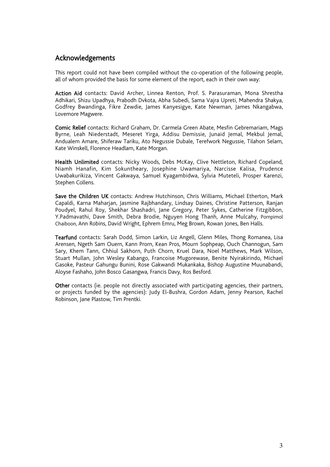## Acknowledgements

This report could not have been compiled without the co-operation of the following people, all of whom provided the basis for some element of the report, each in their own way:

Action Aid contacts: David Archer, Linnea Renton, Prof. S. Parasuraman, Mona Shrestha Adhikari, Shizu Upadhya, Prabodh Dvkota, Abha Subedi, Sama Vajra Upreti, Mahendra Shakya, Godfrey Bwandinga, Fikre Zewdie, James Kanyesigye, Kate Newman, James Nkangabwa, Lovemore Magwere.

Comic Relief contacts: Richard Graham, Dr. Carmela Green Abate, Mesfin Gebremariam, Mags Byrne, Leah Niederstadt, Meseret Yirga, Addisu Demissie, Junaid Jemal, Mekbul Jemal, Andualem Amare, Shiferaw Tariku, Ato Negussie Dubale, Terefwork Negussie, Tilahon Selam, Kate Winskell, Florence Headlam, Kate Morgan.

Health Unlimited contacts: Nicky Woods, Debs McKay, Clive Nettleton, Richard Copeland, Niamh Hanafin, Kim Sokuntheary, Josephine Uwamariya, Narcisse Kalisa, Prudence Uwabakurikiza, Vincent Gakwaya, Samuel Kyagambidwa, Sylvia Muteteli, Prosper Karenzi, Stephen Collens.

Save the Children UK contacts: Andrew Hutchinson, Chris Williams, Michael Etherton, Mark Capaldi, Karna Maharjan, Jasmine Rajbhandary, Lindsay Daines, Christine Patterson, Ranjan Poudyel, Rahul Roy, Shekhar Shashadri, Jane Gregory, Peter Sykes, Catherine Fitzgibbon, Y.Padmavathi, Dave Smith, Debra Brodie, Nguyen Hong Thanh, Anne Mulcahy, Pornpimol Chaiboon, Ann Robins, David Wright, Ephrem Emru, Meg Brown, Rowan Jones, Ben Halls.

Tearfund contacts: Sarah Dodd, Simon Larkin, Liz Angell, Glenn Miles, Thong Romanea, Lisa Arensen, Ngeth Sam Ouern, Kann Prorn, Kean Pros, Mourn Sophpeap, Ouch Channogun, Sam Sary, Khem Tann, Chhiul Sakhorn, Puth Chorn, Kruel Dara, Noel Matthews, Mark Wilson, Stuart Mullan, John Wesley Kabango, Francoise Mugorewase, Benite Nyirakirindo, Michael Gasoke, Pasteur Gahungu Bunini, Rose Gakwandi Mukankaka, Bishop Augustine Muunabandi, Aloyse Fashaho, John Bosco Gasangwa, Francis Davy, Ros Besford.

Other contacts (ie. people not directly associated with participating agencies, their partners, or projects funded by the agencies): Judy El-Bushra, Gordon Adam, Jenny Pearson, Rachel Robinson, Jane Plastow, Tim Prentki.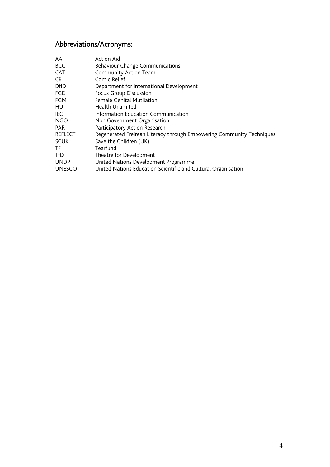# Abbreviations/Acronyms:

| AA             | <b>Action Aid</b>                                                     |
|----------------|-----------------------------------------------------------------------|
| <b>BCC</b>     | <b>Behaviour Change Communications</b>                                |
| <b>CAT</b>     | Community Action Team                                                 |
| <b>CR</b>      | Comic Relief                                                          |
| <b>DfID</b>    | Department for International Development                              |
| FGD            | Focus Group Discussion                                                |
| <b>FGM</b>     | <b>Female Genital Mutilation</b>                                      |
| HU             | <b>Health Unlimited</b>                                               |
| IEC            | Information Education Communication                                   |
| <b>NGO</b>     | Non Government Organisation                                           |
| <b>PAR</b>     | Participatory Action Research                                         |
| <b>REFLECT</b> | Regenerated Freirean Literacy through Empowering Community Techniques |
| <b>SCUK</b>    | Save the Children (UK)                                                |
| TF             | Tearfund                                                              |
| TfD            | Theatre for Development                                               |
| <b>UNDP</b>    | United Nations Development Programme                                  |
| <b>UNESCO</b>  | United Nations Education Scientific and Cultural Organisation         |
|                |                                                                       |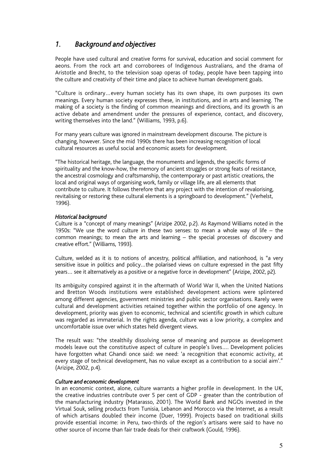## *1. Background and objectives*

People have used cultural and creative forms for survival, education and social comment for aeons. From the rock art and corroborees of Indigenous Australians, and the drama of Aristotle and Brecht, to the television soap operas of today, people have been tapping into the culture and creativity of their time and place to achieve human development goals.

"Culture is ordinary…every human society has its own shape, its own purposes its own meanings. Every human society expresses these, in institutions, and in arts and learning. The making of a society is the finding of common meanings and directions, and its growth is an active debate and amendment under the pressures of experience, contact, and discovery, writing themselves into the land." (Williams, 1993, p.6).

For many years culture was ignored in mainstream development discourse. The picture is changing, however. Since the mid 1990s there has been increasing recognition of local cultural resources as useful social and economic assets for development.

"The historical heritage, the language, the monuments and legends, the specific forms of spirituality and the know-how, the memory of ancient struggles or strong feats of resistance, the ancestral cosmology and craftsmanship, the contemporary or past artistic creations, the local and original ways of organising work, family or village life, are all elements that contribute to culture. It follows therefore that any project with the intention of revalorising, revitalising or restoring these cultural elements is a springboard to development." (Verhelst, 1996).

### *Historical background*

Culture is a "concept of many meanings" (Arizipe 2002, p.2). As Raymond Williams noted in the 1950s: "We use the word culture in these two senses: to mean a whole way of life – the common meanings; to mean the arts and learning – the special processes of discovery and creative effort." (Williams, 1993).

Culture, welded as it is to notions of ancestry, political affiliation, and nationhood, is "a very sensitive issue in politics and policy…the polarised views on culture expressed in the past fifty years… see it alternatively as a positive or a negative force in development" (Arizipe, 2002, p2).

Its ambiguity conspired against it in the aftermath of World War II, when the United Nations and Bretton Woods institutions were established: development actions were splintered among different agencies, government ministries and public sector organisations. Rarely were cultural and development activities retained together within the portfolio of one agency. In development, priority was given to economic, technical and scientific growth in which culture was regarded as immaterial. In the rights agenda, culture was a low priority, a complex and uncomfortable issue over which states held divergent views.

The result was: "the stealthily dissolving sense of meaning and purpose as development models leave out the constitutive aspect of culture in people's lives…. Development policies have forgotten what Ghandi once said: we need: 'a recognition that economic activity, at every stage of technical development, has no value except as a contribution to a social aim'." (Arizipe, 2002, p.4).

### *Culture and economic development*

In an economic context, alone, culture warrants a higher profile in development. In the UK, the creative industries contribute over 5 per cent of GDP - greater than the contribution of the manufacturing industry (Matarasso, 2001). The World Bank and NGOs invested in the Virtual Souk, selling products from Tunisia, Lebanon and Morocco via the Internet, as a result of which artisans doubled their income (Duer, 1999). Projects based on traditional skills provide essential income: in Peru, two-thirds of the region's artisans were said to have no other source of income than fair trade deals for their craftwork (Gould, 1996).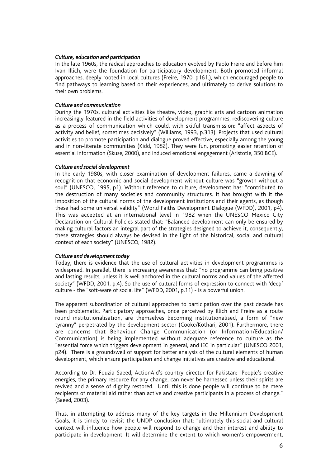### *Culture, education and participation*

In the late 1960s, the radical approaches to education evolved by Paolo Freire and before him Ivan Illich, were the foundation for participatory development. Both promoted informal approaches, deeply rooted in local cultures (Freire, 1970, p161.), which encouraged people to find pathways to learning based on their experiences, and ultimately to derive solutions to their own problems.

### *Culture and communication*

During the 1970s, cultural activities like theatre, video, graphic arts and cartoon animation increasingly featured in the field activities of development programmes, rediscovering culture as a process of communication which could, with skilful transmission: "affect aspects of activity and belief, sometimes decisively" (Williams, 1993, p.313). Projects that used cultural activities to promote participation and dialogue proved effective, especially among the young and in non-literate communities (Kidd, 1982). They were fun, promoting easier retention of essential information (Skuse, 2000), and induced emotional engagement (Aristotle, 350 BCE).

### *Culture and social development*

In the early 1980s, with closer examination of development failures, came a dawning of recognition that economic and social development without culture was "growth without a soul" (UNESCO, 1995, p1). Without reference to culture, development has: "contributed to the destruction of many societies and community structures. It has brought with it the imposition of the cultural norms of the development institutions and their agents, as though these had some universal validity" (World Faiths Development Dialogue (WFDD), 2001, p4). This was accepted at an international level in 1982 when the UNESCO Mexico City Declaration on Cultural Policies stated that: "Balanced development can only be ensured by making cultural factors an integral part of the strategies designed to achieve it, consequently, these strategies should always be devised in the light of the historical, social and cultural context of each society" (UNESCO, 1982).

### *Culture and development today*

Today, there is evidence that the use of cultural activities in development programmes is widespread. In parallel, there is increasing awareness that: "no programme can bring positive and lasting results, unless it is well anchored in the cultural norms and values of the affected society" (WFDD, 2001, p.4). So the use of cultural forms of expression to connect with 'deep' culture - the "soft-ware of social life" (WFDD, 2001, p.11) - is a powerful union.

The apparent subordination of cultural approaches to participation over the past decade has been problematic. Participatory approaches, once perceived by Illich and Freire as a route round institutionalisation, are themselves becoming institutionalised, a form of "new tyranny" perpetrated by the development sector (Cooke/Kothari, 2001). Furthermore, there are concerns that Behaviour Change Communication (or Information/Education/ Communication) is being implemented without adequate reference to culture as the "essential force which triggers development in general, and IEC in particular" (UNESCO 2001, p24). There is a groundswell of support for better analysis of the cultural elements of human development, which ensure participation and change initiatives are creative and educational.

According to Dr. Fouzia Saeed, ActionAid's country director for Pakistan: "People's creative energies, the primary resource for any change, can never be harnessed unless their spirits are revived and a sense of dignity restored. Until this is done people will continue to be mere recipients of material aid rather than active and creative participants in a process of change." (Saeed, 2003).

Thus, in attempting to address many of the key targets in the Millennium Development Goals, it is timely to revisit the UNDP conclusion that: "ultimately this social and cultural context will influence how people will respond to change and their interest and ability to participate in development. It will determine the extent to which women's empowerment,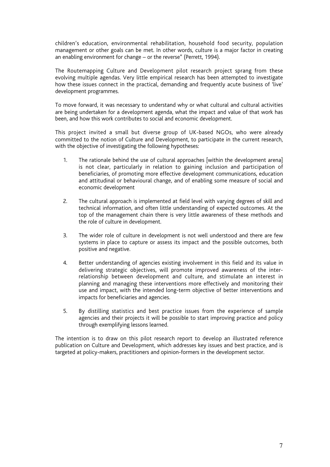children's education, environmental rehabilitation, household food security, population management or other goals can be met. In other words, culture is a major factor in creating an enabling environment for change – or the reverse" (Perrett, 1994).

The Routemapping Culture and Development pilot research project sprang from these evolving multiple agendas. Very little empirical research has been attempted to investigate how these issues connect in the practical, demanding and frequently acute business of 'live' development programmes.

To move forward, it was necessary to understand why or what cultural and cultural activities are being undertaken for a development agenda, what the impact and value of that work has been, and how this work contributes to social and economic development.

This project invited a small but diverse group of UK-based NGOs, who were already committed to the notion of Culture and Development, to participate in the current research, with the objective of investigating the following hypotheses:

- 1. The rationale behind the use of cultural approaches [within the development arena] is not clear, particularly in relation to gaining inclusion and participation of beneficiaries, of promoting more effective development communications, education and attitudinal or behavioural change, and of enabling some measure of social and economic development
- 2. The cultural approach is implemented at field level with varying degrees of skill and technical information, and often little understanding of expected outcomes. At the top of the management chain there is very little awareness of these methods and the role of culture in development.
- 3. The wider role of culture in development is not well understood and there are few systems in place to capture or assess its impact and the possible outcomes, both positive and negative.
- 4. Better understanding of agencies existing involvement in this field and its value in delivering strategic objectives, will promote improved awareness of the interrelationship between development and culture, and stimulate an interest in planning and managing these interventions more effectively and monitoring their use and impact, with the intended long-term objective of better interventions and impacts for beneficiaries and agencies.
- 5. By distilling statistics and best practice issues from the experience of sample agencies and their projects it will be possible to start improving practice and policy through exemplifying lessons learned.

The intention is to draw on this pilot research report to develop an illustrated reference publication on Culture and Development, which addresses key issues and best practice, and is targeted at policy-makers, practitioners and opinion-formers in the development sector.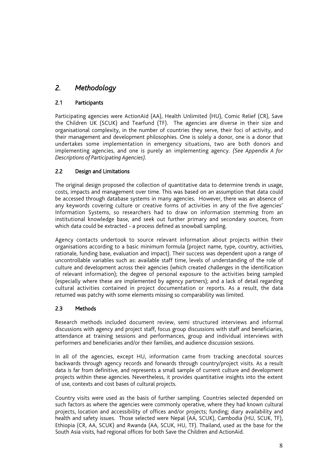## *2. Methodology*

### 2.1 Participants

Participating agencies were ActionAid (AA), Health Unlimited (HU), Comic Relief (CR), Save the Children UK (SCUK) and Tearfund (TF). The agencies are diverse in their size and organisational complexity, in the number of countries they serve, their foci of activity, and their management and development philosophies. One is solely a donor, one is a donor that undertakes some implementation in emergency situations, two are both donors and implementing agencies, and one is purely an implementing agency. *(See Appendix A for Descriptions of Participating Agencies).*

### 2.2 Design and Limitations

The original design proposed the collection of quantitative data to determine trends in usage, costs, impacts and management over time. This was based on an assumption that data could be accessed through database systems in many agencies. However, there was an absence of any keywords covering culture or creative forms of activities in any of the five agencies' Information Systems, so researchers had to draw on information stemming from an institutional knowledge base, and seek out further primary and secondary sources, from which data could be extracted - a process defined as snowball sampling.

Agency contacts undertook to source relevant information about projects within their organisations according to a basic minimum formula (project name, type, country, activities, rationale, funding base, evaluation and impact). Their success was dependent upon a range of uncontrollable variables such as: available staff time, levels of understanding of the role of culture and development across their agencies (which created challenges in the identification of relevant information); the degree of personal exposure to the activities being sampled (especially where these are implemented by agency partners); and a lack of detail regarding cultural activities contained in project documentation or reports. As a result, the data returned was patchy with some elements missing so comparability was limited.

### 2.3 Methods

Research methods included document review, semi structured interviews and informal discussions with agency and project staff, focus group discussions with staff and beneficiaries, attendance at training sessions and performances, group and individual interviews with performers and beneficiaries and/or their families, and audience discussion sessions.

In all of the agencies, except HU, information came from tracking anecdotal sources backwards through agency records and forwards through country/project visits. As a result data is far from definitive, and represents a small sample of current culture and development projects within these agencies. Nevertheless, it provides quantitative insights into the extent of use, contexts and cost bases of cultural projects.

Country visits were used as the basis of further sampling. Countries selected depended on such factors as where the agencies were commonly operative, where they had known cultural projects, location and accessibility of offices and/or projects; funding; diary availability and health and safety issues. Those selected were Nepal (AA, SCUK), Cambodia (HU, SCUK, TF), Ethiopia (CR, AA, SCUK) and Rwanda (AA, SCUK, HU, TF). Thailand, used as the base for the South Asia visits, had regional offices for both Save the Children and ActionAid.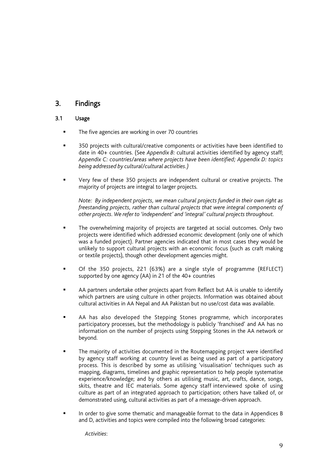## 3. Findings

### 3.1 Usage

- The five agencies are working in over 70 countries
- ß 350 projects with cultural/creative components or activities have been identified to date in 40+ countries. (See *Appendix B:* cultural activities identified by agency staff; *Appendix C: countries/areas where projects have been identified; Appendix D: topics being addressed by cultural/cultural activities.)*
- ß Very few of these 350 projects are independent cultural or creative projects. The majority of projects are integral to larger projects.

*Note: By independent projects, we mean cultural projects funded in their own right as freestanding projects, rather than cultural projects that were integral components of other projects. We refer to 'independent' and 'integral' cultural projects throughout.*

- The overwhelming majority of projects are targeted at social outcomes. Only two projects were identified which addressed economic development (only one of which was a funded project). Partner agencies indicated that in most cases they would be unlikely to support cultural projects with an economic focus (such as craft making or textile projects), though other development agencies might.
- ß Of the 350 projects, 221 (63%) are a single style of programme (REFLECT) supported by one agency (AA) in 21 of the 40+ countries
- AA partners undertake other projects apart from Reflect but AA is unable to identify which partners are using culture in other projects. Information was obtained about cultural activities in AA Nepal and AA Pakistan but no use/cost data was available.
- ß AA has also developed the Stepping Stones programme, which incorporates participatory processes, but the methodology is publicly 'franchised' and AA has no information on the number of projects using Stepping Stones in the AA network or beyond.
- ß The majority of activities documented in the Routemapping project were identified by agency staff working at country level as being used as part of a participatory process. This is described by some as utilising 'visualisation' techniques such as mapping, diagrams, timelines and graphic representation to help people systematise experience/knowledge; and by others as utilising music, art, crafts, dance, songs, skits, theatre and IEC materials. Some agency staff interviewed spoke of using culture as part of an integrated approach to participation; others have talked of, or demonstrated using, cultural activities as part of a message-driven approach.
- ß In order to give some thematic and manageable format to the data in Appendices B and D, activities and topics were compiled into the following broad categories:

*Activities*: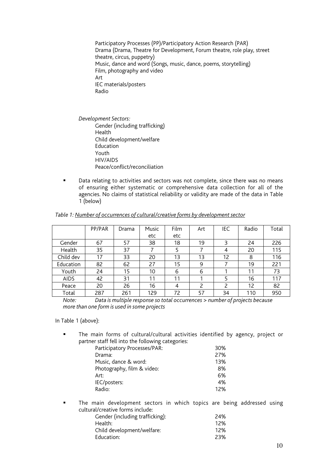Participatory Processes (PP)/Participatory Action Research (PAR) Drama (Drama, Theatre for Development, Forum theatre, role play, street theatre, circus, puppetry) Music, dance and word (Songs, music, dance, poems, storytelling) Film, photography and video Art IEC materials/posters Radio

*Development Sectors:* Gender (including trafficking) Health Child development/welfare Education Youth HIV/AIDS Peace/conflict/reconciliation

**•** Data relating to activities and sectors was not complete, since there was no means of ensuring either systematic or comprehensive data collection for all of the agencies. No claims of statistical reliability or validity are made of the data in Table 1 (below)

| Table 1: Number of occurrences of cultural/creative forms by development sector |  |  |  |
|---------------------------------------------------------------------------------|--|--|--|
|                                                                                 |  |  |  |

|             | PP/PAR | Drama | Music | Film | Art | <b>IEC</b> | Radio | Total |
|-------------|--------|-------|-------|------|-----|------------|-------|-------|
|             |        |       | etc   | etc  |     |            |       |       |
| Gender      | 67     | 57    | 38    | 18   | 19  | 3          | 24    | 226   |
| Health      | 35     | 37    |       |      |     | 4          | 20    | 115   |
| Child dev   | 17     | 33    | 20    | 13   | 13  | 12         | 8     | 116   |
| Education   | 82     | 62    | 27    | 15   | 9   | 7          | 19    | 221   |
| Youth       | 24     | 15    | 10    | 6    | 6   |            | 11    | 73    |
| <b>AIDS</b> | 42     | 31    | 11    | 11   |     | 5          | 16    | 117   |
| Peace       | 20     | 26    | 16    | 4    | 2   | 2          | 12    | 82    |
| Total       | 287    | 261   | 129   | 72   | 57  | 34         | 110   | 950   |

*Note: Data is multiple response so total occurrences > number of projects because more than one form is used in some projects*

In Table 1 (above):

**FILE** The main forms of cultural/cultural activities identified by agency, project or partner staff fell into the following categories:

| Participatory Processes/PAR: | 30% |
|------------------------------|-----|
| Drama:                       | 27% |
| Music, dance & word:         | 13% |
| Photography, film & video:   | 8%  |
| Art:                         | 6%  |
| IEC/posters:                 | 4%  |
| Radio:                       | 12% |

**The main development sectors in which topics are being addressed using** cultural/creative forms include:

| Gender (including trafficking): | 24% |
|---------------------------------|-----|
| Health:                         | 12% |
| Child development/welfare:      | 12% |
| Education:                      | 23% |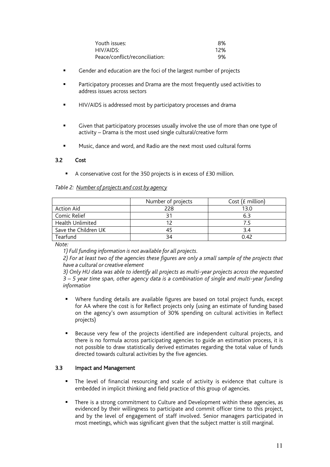| Youth issues:                  | 8%  |
|--------------------------------|-----|
| HIV/AIDS:                      | 12% |
| Peace/conflict/reconciliation: | 9%  |

- ß Gender and education are the foci of the largest number of projects
- ß Participatory processes and Drama are the most frequently used activities to address issues across sectors
- ß HIV/AIDS is addressed most by participatory processes and drama
- **EXECT** Given that participatory processes usually involve the use of more than one type of activity – Drama is the most used single cultural/creative form
- ß Music, dance and word, and Radio are the next most used cultural forms

### 3.2 Cost

ß A conservative cost for the 350 projects is in excess of £30 million.

| Table 2: Number of projects and cost by agency |  |  |
|------------------------------------------------|--|--|
|                                                |  |  |

|                      | Number of projects | Cost $(f$ million) |
|----------------------|--------------------|--------------------|
| Action Aid           | 228                | 13.0               |
| Comic Relief         |                    | 6.3                |
| Health Unlimited     |                    |                    |
| Save the Children UK |                    | 3.4                |
| Tearfund             | 34                 | 0.42               |

*Note:*

*1) Full funding information is not available for all projects.*

*2) For at least two of the agencies these figures are only a small sample of the projects that have a cultural or creative element*

*3) Only HU data was able to identify all projects as multi-year projects across the requested 3 – 5 year time span, other agency data is a combination of single and multi-year funding information*

- ß Where funding details are available figures are based on total project funds, except for AA where the cost is for Reflect projects only (using an estimate of funding based on the agency's own assumption of 30% spending on cultural activities in Reflect projects)
- ß Because very few of the projects identified are independent cultural projects, and there is no formula across participating agencies to guide an estimation process, it is not possible to draw statistically derived estimates regarding the total value of funds directed towards cultural activities by the five agencies.

### 3.3 Impact and Management

- ß The level of financial resourcing and scale of activity is evidence that culture is embedded in implicit thinking and field practice of this group of agencies.
- There is a strong commitment to Culture and Development within these agencies, as evidenced by their willingness to participate and commit officer time to this project, and by the level of engagement of staff involved. Senior managers participated in most meetings, which was significant given that the subject matter is still marginal.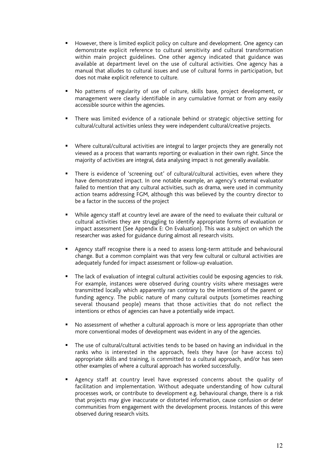- ß However, there is limited explicit policy on culture and development. One agency can demonstrate explicit reference to cultural sensitivity and cultural transformation within main project guidelines. One other agency indicated that guidance was available at department level on the use of cultural activities. One agency has a manual that alludes to cultural issues and use of cultural forms in participation, but does not make explicit reference to culture.
- ß No patterns of regularity of use of culture, skills base, project development, or management were clearly identifiable in any cumulative format or from any easily accessible source within the agencies.
- ß There was limited evidence of a rationale behind or strategic objective setting for cultural/cultural activities unless they were independent cultural/creative projects.
- ß Where cultural/cultural activities are integral to larger projects they are generally not viewed as a process that warrants reporting or evaluation in their own right. Since the majority of activities are integral, data analysing impact is not generally available.
- There is evidence of 'screening out' of cultural/cultural activities, even where they have demonstrated impact. In one notable example, an agency's external evaluator failed to mention that any cultural activities, such as drama, were used in community action teams addressing FGM, although this was believed by the country director to be a factor in the success of the project
- ß While agency staff at country level are aware of the need to evaluate their cultural or cultural activities they are struggling to identify appropriate forms of evaluation or impact assessment (See Appendix E: On Evaluation). This was a subject on which the researcher was asked for guidance during almost all research visits.
- ß Agency staff recognise there is a need to assess long-term attitude and behavioural change. But a common complaint was that very few cultural or cultural activities are adequately funded for impact assessment or follow-up evaluation.
- The lack of evaluation of integral cultural activities could be exposing agencies to risk. For example, instances were observed during country visits where messages were transmitted locally which apparently ran contrary to the intentions of the parent or funding agency. The public nature of many cultural outputs (sometimes reaching several thousand people) means that those activities that do not reflect the intentions or ethos of agencies can have a potentially wide impact.
- ß No assessment of whether a cultural approach is more or less appropriate than other more conventional modes of development was evident in any of the agencies.
- ß The use of cultural/cultural activities tends to be based on having an individual in the ranks who is interested in the approach, feels they have (or have access to) appropriate skills and training, is committed to a cultural approach, and/or has seen other examples of where a cultural approach has worked successfully.
- ß Agency staff at country level have expressed concerns about the quality of facilitation and implementation. Without adequate understanding of how cultural processes work, or contribute to development e.g. behavioural change, there is a risk that projects may give inaccurate or distorted information, cause confusion or deter communities from engagement with the development process. Instances of this were observed during research visits.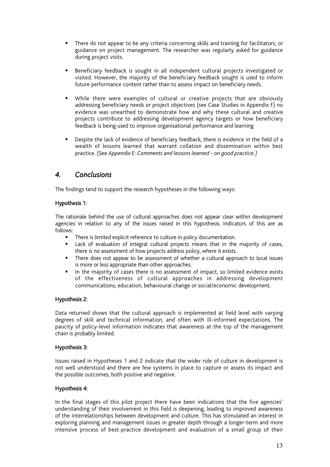- ß There do not appear to be any criteria concerning skills and training for facilitators, or guidance on project management. The researcher was regularly asked for guidance during project visits.
- ß Beneficiary feedback is sought in all independent cultural projects investigated or visited. However, the majority of the beneficiary feedback sought is used to inform future performance content rather than to assess impact on beneficiary needs.
- ß While there were examples of cultural or creative projects that are obviously addressing beneficiary needs or project objectives (see Case Studies in Appendix F) no evidence was unearthed to demonstrate how and why these cultural and creative projects contribute to addressing development agency targets or how beneficiary feedback is being used to improve organisational performance and learning
- ß Despite the lack of evidence of beneficiary feedback, there is evidence in the field of a wealth of lessons learned that warrant collation and dissemination within best practice. (See *Appendix E: Comments and lessons learned - on good practice.)*

## *4. Conclusions*

The findings tend to support the research hypotheses in the following ways:

### Hypothesis 1:

The rationale behind the use of cultural approaches does not appear clear within development agencies in relation to any of the issues raised in this hypothesis. Indicators of this are as follows:

- There is limited explicit reference to culture in policy documentation.
- **EXECT** Lack of evaluation of integral cultural projects means that in the majority of cases, there is no assessment of how projects address policy, where it exists.
- There does not appear to be assessment of whether a cultural approach to local issues is more or less appropriate than other approaches.
- ß In the majority of cases there is no assessment of impact, so limited evidence exists of the effectiveness of cultural approaches in addressing development communications, education, behavioural change or social/economic development.

### Hypothesis 2:

Data returned shows that the cultural approach is implemented at field level with varying degrees of skill and technical information, and often with ill-informed expectations. The paucity of policy-level information indicates that awareness at the top of the management chain is probably limited.

### Hypothesis 3:

Issues raised in Hypotheses 1 and 2 indicate that the wider role of culture in development is not well understood and there are few systems in place to capture or assess its impact and the possible outcomes, both positive and negative.

### Hypothesis 4:

In the final stages of this pilot project there have been indications that the five agencies' understanding of their involvement in this field is deepening, leading to improved awareness of the interrelationships between development and culture. This has stimulated an interest in exploring planning and management issues in greater depth through a longer-term and more intensive process of best-practice development and evaluation of a small group of their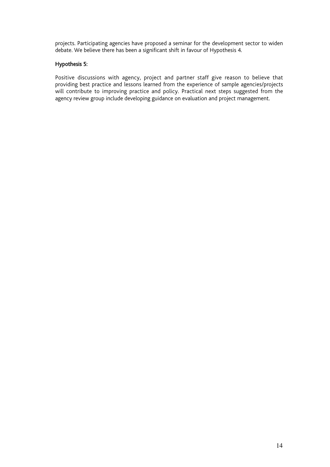projects. Participating agencies have proposed a seminar for the development sector to widen debate. We believe there has been a significant shift in favour of Hypothesis 4.

### Hypothesis 5:

Positive discussions with agency, project and partner staff give reason to believe that providing best practice and lessons learned from the experience of sample agencies/projects will contribute to improving practice and policy. Practical next steps suggested from the agency review group include developing guidance on evaluation and project management.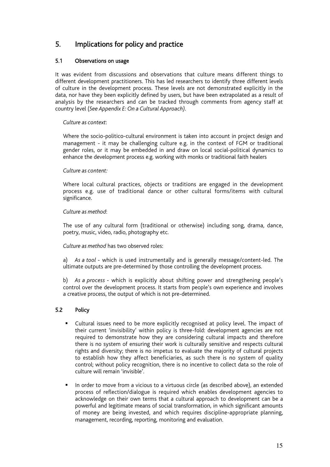## 5. Implications for policy and practice

### 5.1 Observations on usage

It was evident from discussions and observations that culture means different things to different development practitioners. This has led researchers to identify three different levels of culture in the development process. These levels are not demonstrated explicitly in the data, nor have they been explicitly defined by users, but have been extrapolated as a result of analysis by the researchers and can be tracked through comments from agency staff at country level (*See Appendix E: On a Cultural Approach).*

### *Culture as context*:

Where the socio-politico-cultural environment is taken into account in project design and management - it may be challenging culture e.g. in the context of FGM or traditional gender roles, or it may be embedded in and draw on local social-political dynamics to enhance the development process e.g. working with monks or traditional faith healers

### *Culture as content:*

Where local cultural practices, objects or traditions are engaged in the development process e.g. use of traditional dance or other cultural forms/items with cultural significance.

### *Culture as method*:

The use of any cultural form (traditional or otherwise) including song, drama, dance, poetry, music, video, radio, photography etc.

*Culture as method* has two observed roles:

a) *As a tool* - which is used instrumentally and is generally message/content-led. The ultimate outputs are pre-determined by those controlling the development process.

b) *As a process* - which is explicitly about shifting power and strengthening people's control over the development process. It starts from people's own experience and involves a creative process, the output of which is not pre-determined.

### 5.2 Policy

- ß Cultural issues need to be more explicitly recognised at policy level. The impact of their current 'invisibility' within policy is three-fold: development agencies are not required to demonstrate how they are considering cultural impacts and therefore there is no system of ensuring their work is culturally sensitive and respects cultural rights and diversity; there is no impetus to evaluate the majority of cultural projects to establish how they affect beneficiaries, as such there is no system of quality control; without policy recognition, there is no incentive to collect data so the role of culture will remain 'invisible'.
- ß In order to move from a vicious to a virtuous circle (as described above), an extended process of reflection/dialogue is required which enables development agencies to acknowledge on their own terms that a cultural approach to development can be a powerful and legitimate means of social transformation, in which significant amounts of money are being invested, and which requires discipline-appropriate planning, management, recording, reporting, monitoring and evaluation.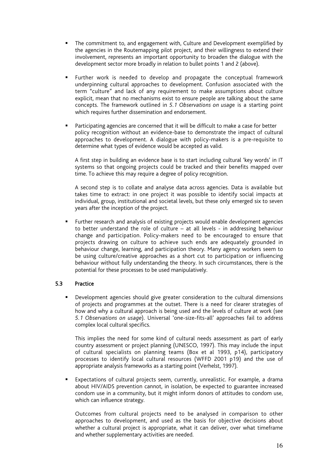- ß The commitment to, and engagement with, Culture and Development exemplified by the agencies in the Routemapping pilot project, and their willingness to extend their involvement, represents an important opportunity to broaden the dialogue with the development sector more broadly in relation to bullet points 1 and 2 (above).
- ß Further work is needed to develop and propagate the conceptual framework underpinning cultural approaches to development. Confusion associated with the term "culture" and lack of any requirement to make assumptions about culture explicit, mean that no mechanisms exist to ensure people are talking about the same concepts. The framework outlined in *5.1 Observations on usag*e is a starting point which requires further dissemination and endorsement.
- ß Participating agencies are concerned that it will be difficult to make a case for better policy recognition without an evidence-base to demonstrate the impact of cultural approaches to development. A dialogue with policy-makers is a pre-requisite to determine what types of evidence would be accepted as valid.

A first step in building an evidence base is to start including cultural 'key words' in IT systems so that ongoing projects could be tracked and their benefits mapped over time. To achieve this may require a degree of policy recognition.

A second step is to collate and analyse data across agencies. Data is available but takes time to extract: in one project it was possible to identify social impacts at individual, group, institutional and societal levels, but these only emerged six to seven years after the inception of the project.

ß Further research and analysis of existing projects would enable development agencies to better understand the role of culture – at all levels - in addressing behaviour change and participation. Policy-makers need to be encouraged to ensure that projects drawing on culture to achieve such ends are adequately grounded in behaviour change, learning, and participation theory. Many agency workers seem to be using culture/creative approaches as a short cut to participation or influencing behaviour without fully understanding the theory. In such circumstances, there is the potential for these processes to be used manipulatively.

### 5.3 Practice

ß Development agencies should give greater consideration to the cultural dimensions of projects and programmes at the outset. There is a need for clearer strategies of how and why a cultural approach is being used and the levels of culture at work (see *5.1 Observations on usage*). Universal 'one-size-fits-all' approaches fail to address complex local cultural specifics.

This implies the need for some kind of cultural needs assessment as part of early country assessment or project planning (UNESCO, 1997). This may include the input of cultural specialists on planning teams (Box et al 1993, p14), participatory processes to identify local cultural resources (WFFD 2001 p19) and the use of appropriate analysis frameworks as a starting point (Verhelst, 1997).

ß Expectations of cultural projects seem, currently, unrealistic. For example, a drama about HIV/AIDS prevention cannot, in isolation, be expected to guarantee increased condom use in a community, but it might inform donors of attitudes to condom use, which can influence strategy.

Outcomes from cultural projects need to be analysed in comparison to other approaches to development, and used as the basis for objective decisions about whether a cultural project is appropriate, what it can deliver, over what timeframe and whether supplementary activities are needed.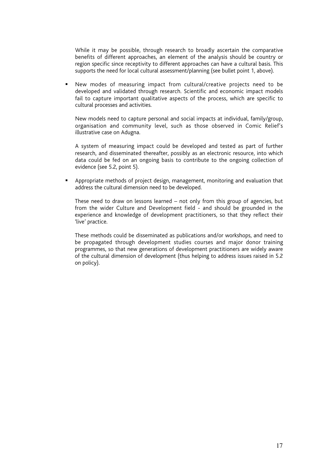While it may be possible, through research to broadly ascertain the comparative benefits of different approaches, an element of the analysis should be country or region specific since receptivity to different approaches can have a cultural basis. This supports the need for local cultural assessment/planning (see bullet point 1, above).

ß New modes of measuring impact from cultural/creative projects need to be developed and validated through research. Scientific and economic impact models fail to capture important qualitative aspects of the process, which are specific to cultural processes and activities.

New models need to capture personal and social impacts at individual, family/group, organisation and community level, such as those observed in Comic Relief's illustrative case on Adugna.

A system of measuring impact could be developed and tested as part of further research, and disseminated thereafter, possibly as an electronic resource, into which data could be fed on an ongoing basis to contribute to the ongoing collection of evidence (see 5.2, point 5).

ß Appropriate methods of project design, management, monitoring and evaluation that address the cultural dimension need to be developed.

These need to draw on lessons learned – not only from this group of agencies, but from the wider Culture and Development field - and should be grounded in the experience and knowledge of development practitioners, so that they reflect their 'live' practice.

These methods could be disseminated as publications and/or workshops, and need to be propagated through development studies courses and major donor training programmes, so that new generations of development practitioners are widely aware of the cultural dimension of development (thus helping to address issues raised in 5.2 on policy).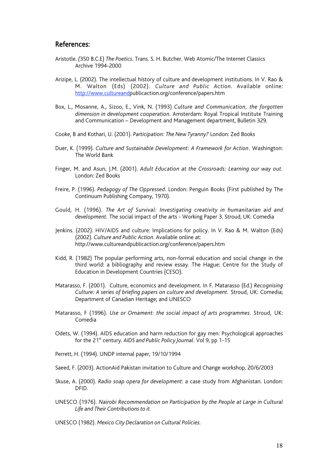### References:

- Aristotle. *(*350 B.C.E) *The Poetics.* Trans. S. H. Butcher. Web Atomic/The Internet Classics Archive 1994-2000
- Arizipe, L. (2002). The intellectual history of culture and development institutions. In V. Rao & M. Walton (Eds) (2002). *Culture and Public Action*. Available online: http://www.cultureand publicaction.org/conference/papers.htm
- Box, L., Mosanne, A., Sizoo, E., Vink, N. (1993) *Culture and Communication, the forgotten dimension in development cooperation.* Amsterdam: Royal Tropical Institute Training and Communication – Development and Management department, Bulletin 329.
- Cooke, B and Kothari, U. (2001). *Participation: The New Tyranny?* London: Zed Books
- Duer, K. (1999). *Culture and Sustainable Development: A Framework for Action*. Washington: The World Bank
- Finger, M. and Asun, J.M. (2001). *Adult Education at the Crossroads: Learning our way out.* London: Zed Books
- Freire, P. (1996). *Pedagogy of The Oppressed*. London: Penguin Books (First published by The Continuum Publishing Company, 1970).
- Gould, H. (1996). *The Art of Survival: Investigating creativity in humanitarian aid and development.* The social impact of the arts - Working Paper 3. Stroud, UK: Comedia
- Jenkins. (2002). HIV/AIDS and culture: Implications for policy. In V. Rao & M. Walton (Eds) (2002). *Culture and Public Action*. Available online at: http://www.cultureandpublicaction.org/conference/papers.htm
- Kidd, R. (1982) The popular performing arts, non-formal education and social change in the third world: a bibliography and review essay. The Hague: Centre for the Study of Education in Development Countries (CESO).
- Matarasso, F. (2001). Culture, economics and development. In F. Matarasso (Ed.) *Recognising Culture: A series of briefing papers on culture and development.* Stroud, UK: Comedia; Department of Canadian Heritage; and UNESCO
- Matarasso, F (1996). *Use or Ornament: the social impact of arts programmes.* Stroud, UK: Comedia
- Odets, W. (1994). AIDS education and harm reduction for gay men: Psychological approaches for the 21<sup>st</sup> century. *AIDS and Public Policy Journal*. Vol 9, pp 1-15
- Perrett, H. (1994). UNDP internal paper, 19/10/1994
- Saeed, F. (2003). ActionAid Pakistan invitation to Culture and Change workshop, 20/6/2003
- Skuse, A. (2000). *Radio soap opera for development*: a case study from Afghanistan. London: DFID.
- UNESCO (1976). *Nairobi Recommendation on Participation by the People at Large in Cultural Life and Their Contributions to it.*
- UNESCO (1982). *Mexico City Declaration on Cultural Policies.*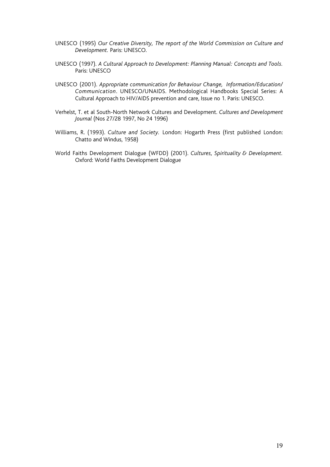- UNESCO (1995) *Our Creative Diversity, The report of the World Commission on Culture and Development.* Paris: UNESCO.
- UNESCO (1997). *A Cultural Approach to Development: Planning Manual: Concepts and Tools.* Paris: UNESCO
- UNESCO (2001). *Appropriate communication for Behaviour Change, Information/Education/ Communication*. UNESCO/UNAIDS. Methodological Handbooks Special Series: A Cultural Approach to HIV/AIDS prevention and care, Issue no 1. Paris: UNESCO.
- Verhelst, T. et al South-North Network Cultures and Development. *Cultures and Development Journal* (Nos 27/28 1997, No 24 1996)
- Williams, R. (1993). *Culture and Society.* London: Hogarth Press (first published London: Chatto and Windus, 1958)
- World Faiths Development Dialogue (WFDD) (2001). *Cultures, Spirituality & Development.* Oxford: World Faiths Development Dialogue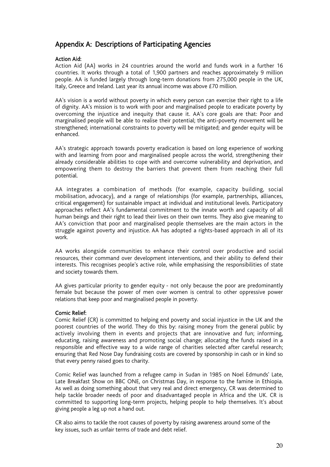## Appendix A: Descriptions of Participating Agencies

### Action Aid:

Action Aid (AA) works in 24 countries around the world and funds work in a further 16 countries. It works through a total of 1,900 partners and reaches approximately 9 million people. AA is funded largely through long-term donations from 275,000 people in the UK, Italy, Greece and Ireland. Last year its annual income was above £70 million.

AA's vision is a world without poverty in which every person can exercise their right to a life of dignity. AA's mission is to work with poor and marginalised people to eradicate poverty by overcoming the injustice and inequity that cause it. AA's core goals are that: Poor and marginalised people will be able to realise their potential; the anti-poverty movement will be strengthened; international constraints to poverty will be mitigated; and gender equity will be enhanced.

AA's strategic approach towards poverty eradication is based on long experience of working with and learning from poor and marginalised people across the world, strengthening their already considerable abilities to cope with and overcome vulnerability and deprivation, and empowering them to destroy the barriers that prevent them from reaching their full potential.

AA integrates a combination of methods (for example, capacity building, social mobilisation, advocacy), and a range of relationships (for example, partnerships, alliances, critical engagement) for sustainable impact at individual and institutional levels. Participatory approaches reflect AA's fundamental commitment to the innate worth and capacity of all human beings and their right to lead their lives on their own terms. They also give meaning to AA's conviction that poor and marginalised people themselves are the main actors in the struggle against poverty and injustice. AA has adopted a rights-based approach in all of its work.

AA works alongside communities to enhance their control over productive and social resources, their command over development interventions, and their ability to defend their interests. This recognises people's active role, while emphasising the responsibilities of state and society towards them.

AA gives particular priority to gender equity - not only because the poor are predominantly female but because the power of men over women is central to other oppressive power relations that keep poor and marginalised people in poverty.

### Comic Relief:

Comic Relief (CR) is committed to helping end poverty and social injustice in the UK and the poorest countries of the world. They do this by: raising money from the general public by actively involving them in events and projects that are innovative and fun; informing, educating, raising awareness and promoting social change; allocating the funds raised in a responsible and effective way to a wide range of charities selected after careful research; ensuring that Red Nose Day fundraising costs are covered by sponsorship in cash or in kind so that every penny raised goes to charity.

Comic Relief was launched from a refugee camp in Sudan in 1985 on Noel Edmunds' Late, Late Breakfast Show on BBC ONE, on Christmas Day, in response to the famine in Ethiopia. As well as doing something about that very real and direct emergency, CR was determined to help tackle broader needs of poor and disadvantaged people in Africa and the UK. CR is committed to supporting long-term projects, helping people to help themselves. It's about giving people a leg up not a hand out.

CR also aims to tackle the root causes of poverty by raising awareness around some of the key issues, such as unfair terms of trade and debt relief.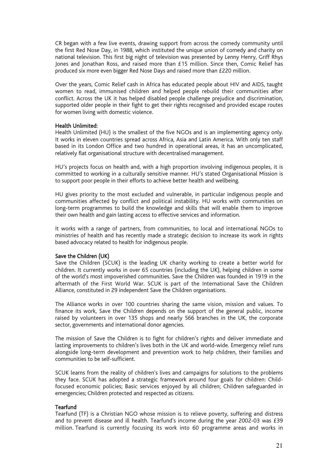CR began with a few live events, drawing support from across the comedy community until the first Red Nose Day, in 1988, which instituted the unique union of comedy and charity on national television. This first big night of television was presented by Lenny Henry, Griff Rhys Jones and Jonathan Ross, and raised more than £15 million. Since then, Comic Relief has produced six more even bigger Red Nose Days and raised more than £220 million.

Over the years, Comic Relief cash in Africa has educated people about HIV and AIDS, taught women to read, immunised children and helped people rebuild their communities after conflict. Across the UK it has helped disabled people challenge prejudice and discrimination, supported older people in their fight to get their rights recognised and provided escape routes for women living with domestic violence.

### Health Unlimited:

Health Unlimited (HU) is the smallest of the five NGOs and is an implementing agency only. It works in eleven countries spread across Africa, Asia and Latin America. With only ten staff based in its London Office and two hundred in operational areas, it has an uncomplicated, relatively flat organisational structure with decentralised management.

HU's projects focus on health and, with a high proportion involving indigenous peoples, it is committed to working in a culturally sensitive manner. HU's stated Organisational Mission is to support poor people in their efforts to achieve better health and wellbeing.

HU gives priority to the most excluded and vulnerable, in particular indigenous people and communities affected by conflict and political instability. HU works with communities on long-term programmes to build the knowledge and skills that will enable them to improve their own health and gain lasting access to effective services and information.

It works with a range of partners, from communities, to local and international NGOs to ministries of health and has recently made a strategic decision to increase its work in rights based advocacy related to health for indigenous people.

### Save the Children (UK)

Save the Children (SCUK) is the leading UK charity working to create a better world for children. It currently works in over 65 countries (including the UK), helping children in some of the world's most impoverished communities. Save the Children was founded in 1919 in the aftermath of the First World War. SCUK is part of the International Save the Children Alliance, constituted in 29 independent Save the Children organisations.

The Alliance works in over 100 countries sharing the same vision, mission and values. To finance its work, Save the Children depends on the support of the general public, income raised by volunteers in over 135 shops and nearly 566 branches in the UK, the corporate sector, governments and international donor agencies.

The mission of Save the Children is to fight for children's rights and deliver immediate and lasting improvements to children's lives both in the UK and world-wide. Emergency relief runs alongside long-term development and prevention work to help children, their families and communities to be self-sufficient.

SCUK learns from the reality of children's lives and campaigns for solutions to the problems they face. SCUK has adopted a strategic framework around four goals for children: Childfocused economic policies; Basic services enjoyed by all children; Children safeguarded in emergencies; Children protected and respected as citizens.

#### **Tearfund**

Tearfund (TF) is a Christian NGO whose mission is to relieve poverty, suffering and distress and to prevent disease and ill health. Tearfund's income during the year 2002-03 was £39 million. Tearfund is currently focusing its work into 60 programme areas and works in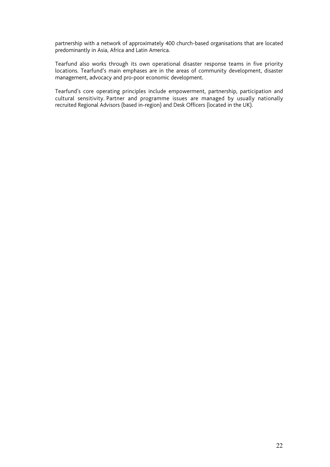partnership with a network of approximately 400 church-based organisations that are located predominantly in Asia, Africa and Latin America.

Tearfund also works through its own operational disaster response teams in five priority locations. Tearfund's main emphases are in the areas of community development, disaster management, advocacy and pro-poor economic development.

Tearfund's core operating principles include empowerment, partnership, participation and cultural sensitivity. Partner and programme issues are managed by usually nationally recruited Regional Advisors (based in-region) and Desk Officers (located in the UK).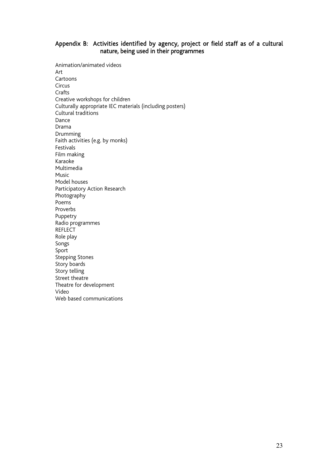### Appendix B: Activities identified by agency, project or field staff as of a cultural nature, being used in their programmes

Animation/animated videos Art Cartoons Circus Crafts Creative workshops for children Culturally appropriate IEC materials (including posters) Cultural traditions Dance Drama Drumming Faith activities (e.g. by monks) Festivals Film making Karaoke Multimedia Music Model houses Participatory Action Research Photography Poems Proverbs Puppetry Radio programmes **REFLECT** Role play Songs Sport Stepping Stones Story boards Story telling Street theatre Theatre for development Video Web based communications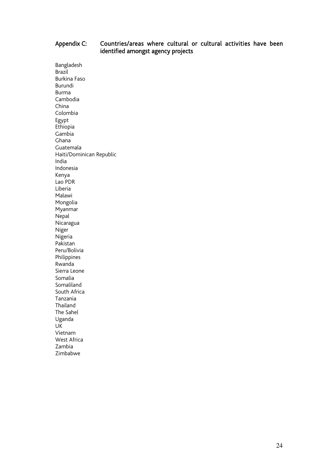### Appendix C: Countries/areas where cultural or cultural activities have been identified amongst agency projects

Bangladesh Brazil Burkina Faso Burundi Burma Cambodia China Colombia Egypt Ethiopia Gambia Ghana Guatemala Haiti/Dominican Republic India Indonesia Kenya Lao PDR Liberia Malawi Mongolia Myanmar Nepal Nicaragua Niger Nigeria Pakistan Peru/Bolivia Philippines Rwanda Sierra Leone Somalia Somaliland South Africa Tanzania Thailand The Sahel Uganda UK Vietnam West Africa Zambia Zimbabwe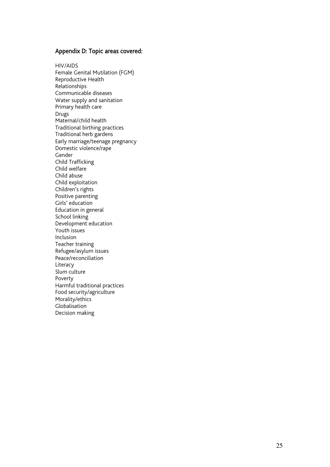### Appendix D: Topic areas covered:

HIV/AIDS Female Genital Mutilation (FGM) Reproductive Health Relationships Communicable diseases Water supply and sanitation Primary health care Drugs Maternal/child health Traditional birthing practices Traditional herb gardens Early marriage/teenage pregnancy Domestic violence/rape Gender Child Trafficking Child welfare Child abuse Child exploitation Children's rights Positive parenting Girls' education Education in general School linking Development education Youth issues Inclusion Teacher training Refugee/asylum issues Peace/reconciliation Literacy Slum culture Poverty Harmful traditional practices Food security/agriculture Morality/ethics Globalisation Decision making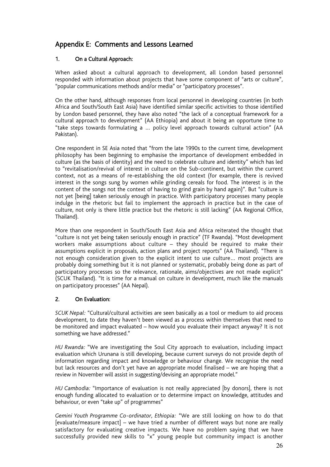## Appendix E: Comments and Lessons Learned

### 1. On a Cultural Approach:

When asked about a cultural approach to development, all London based personnel responded with information about projects that have some component of "arts or culture", "popular communications methods and/or media" or "participatory processes".

On the other hand, although responses from local personnel in developing countries (in both Africa and South/South East Asia) have identified similar specific activities to those identified by London based personnel, they have also noted "the lack of a conceptual framework for a cultural approach to development" (AA Ethiopia) and about it being an opportune time to "take steps towards formulating a … policy level approach towards cultural action" (AA Pakistan).

One respondent in SE Asia noted that "from the late 1990s to the current time, development philosophy has been beginning to emphasise the importance of development embedded in culture (as the basis of identity) and the need to celebrate culture and identity" which has led to "revitalisation/revival of interest in culture on the Sub-continent, but within the current context, not as a means of re-establishing the old context (for example, there is revived interest in the songs sung by women while grinding cereals for food. The interest is in the content of the songs not the context of having to grind grain by hand again)". But "culture is not yet [being] taken seriously enough in practice. With participatory processes many people indulge in the rhetoric but fail to implement the approach in practice but in the case of culture, not only is there little practice but the rhetoric is still lacking" (AA Regional Office, Thailand).

More than one respondent in South/South East Asia and Africa reiterated the thought that "culture is not yet being taken seriously enough in practice" (TF Rwanda). "Most development workers make assumptions about culture – they should be required to make their assumptions explicit in proposals, action plans and project reports" (AA Thailand). "There is not enough consideration given to the explicit intent to use culture… most projects are probably doing something but it is not planned or systematic, probably being done as part of participatory processes so the relevance, rationale, aims/objectives are not made explicit" (SCUK Thailand). "It is time for a manual on culture in development, much like the manuals on participatory processes" (AA Nepal).

### 2. On Evaluation:

*SCUK Nepal:* "Cultural/cultural activities are seen basically as a tool or medium to aid process development, to date they haven't been viewed as a process within themselves that need to be monitored and impact evaluated – how would you evaluate their impact anyway? It is not something we have addressed."

*HU Rwanda:* "We are investigating the Soul City approach to evaluation, including impact evaluation which Urunana is still developing, because current surveys do not provide depth of information regarding impact and knowledge or behaviour change. We recognise the need but lack resources and don't yet have an appropriate model finalised – we are hoping that a review in November will assist in suggesting/devising an appropriate model."

*HU Cambodia:* "Importance of evaluation is not really appreciated [by donors], there is not enough funding allocated to evaluation or to determine impact on knowledge, attitudes and behaviour, or even "take up" of programmes"

*Gemini Youth Programme Co-ordinator, Ethiopia:* "We are still looking on how to do that [evaluate/measure impact] – we have tried a number of different ways but none are really satisfactory for evaluating creative impacts. We have no problem saying that we have successfully provided new skills to "x" young people but community impact is another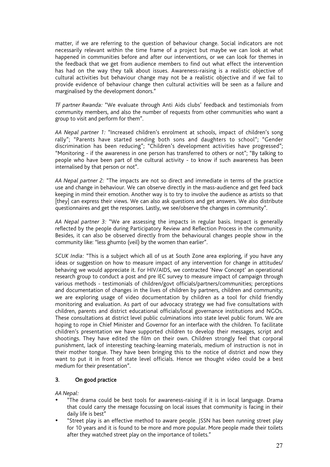matter, if we are referring to the question of behaviour change. Social indicators are not necessarily relevant within the time frame of a project but maybe we can look at what happened in communities before and after our interventions, or we can look for themes in the feedback that we get from audience members to find out what effect the intervention has had on the way they talk about issues. Awareness-raising is a realistic objective of cultural activities but behaviour change may not be a realistic objective and if we fail to provide evidence of behaviour change then cultural activities will be seen as a failure and marginalised by the development donors."

*TF partner Rwanda:* "We evaluate through Anti Aids clubs' feedback and testimonials from community members, and also the number of requests from other communities who want a group to visit and perform for them".

*AA Nepal partner 1:* "Increased children's enrolment at schools, impact of children's song rally"; "Parents have started sending both sons and daughters to school"; "Gender discrimination has been reducing"; "Children's development activities have progressed"; "Monitoring - if the awareness in one person has transferred to others or not"; "By talking to people who have been part of the cultural activity - to know if such awareness has been internalised by that person or not".

*AA Nepal partner 2:* "The impacts are not so direct and immediate in terms of the practice use and change in behaviour. We can observe directly in the mass-audience and get feed back keeping in mind their emotion. Another way is to try to involve the audience as artists so that [they] can express their views. We can also ask questions and get answers. We also distribute questionnaires and get the responses. Lastly, we see/observe the changes in community".

*AA Nepal partner 3:* "We are assessing the impacts in regular basis. Impact is generally reflected by the people during Participatory Review and Reflection Process in the community. Besides, it can also be observed directly from the behavioural changes people show in the community like: "less ghumto (veil) by the women than earlier".

*SCUK India:* "This is a subject which all of us at South Zone area exploring, if you have any ideas or suggestion on how to measure impact of any intervention for change in attitudes/ behaving we would appreciate it. For HIV/AIDS, we contracted 'New Concept' an operational research group to conduct a post and pre IEC survey to measure impact of campaign through various methods - testimonials of children/govt officials/partners/communities; perceptions and documentation of changes in the lives of children by partners, children and community; we are exploring usage of video documentation by children as a tool for child friendly monitoring and evaluation. As part of our advocacy strategy we had five consultations with children, parents and district educational officials/local governance institutions and NGOs. These consultations at district level public culminations into state level public forum. We are hoping to rope in Chief Minister and Governor for an interface with the children. To facilitate children's presentation we have supported children to develop their messages, script and shootings. They have edited the film on their own. Children strongly feel that corporal punishment, lack of interesting teaching-learning materials, medium of instruction is not in their mother tongue. They have been bringing this to the notice of district and now they want to put it in front of state level officials. Hence we thought video could be a best medium for their presentation".

### 3. On good practice

*AA Nepal:*

"The drama could be best tools for awareness-raising if it is in local language. Drama that could carry the message focussing on local issues that community is facing in their daily life is best"

"Street play is an effective method to aware people. JSSN has been running street play for 10 years and it is found to be more and more popular. More people made their toilets after they watched street play on the importance of toilets."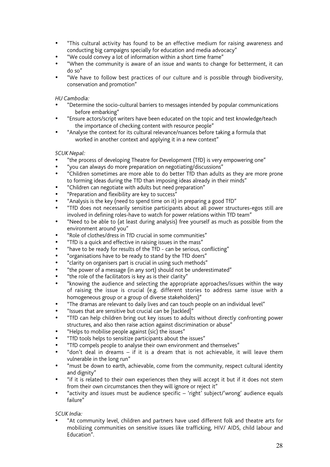"This cultural activity has found to be an effective medium for raising awareness and conducting big campaigns specially for education and media advocacy"

"We could convey a lot of information within a short time frame"

"When the community is aware of an issue and wants to change for betterment, it can do so"

"We have to follow best practices of our culture and is possible through biodiversity, conservation and promotion"

### *HU Cambodia:*

"Determine the socio-cultural barriers to messages intended by popular communications before embarking"

"Ensure actors/script writers have been educated on the topic and test knowledge/teach the importance of checking content with resource people"

"Analyse the context for its cultural relevance/nuances before taking a formula that worked in another context and applying it in a new context"

### *SCUK Nepal:*

"the process of developing Theatre for Development (TfD) is very empowering one" "you can always do more preparation on negotiating/discussions"

"Children sometimes are more able to do better TfD than adults as they are more prone to forming ideas during the TfD than imposing ideas already in their minds"

"Children can negotiate with adults but need preparation"

"Preparation and flexibility are key to success"

"Analysis is the key (need to spend time on it) in preparing a good TfD"

"TfD does not necessarily sensitise participants about all power structures-egos still are involved in defining roles-have to watch for power relations within TfD team"

"Need to be able to (at least during analysis) free yourself as much as possible from the environment around you"

"Role of clothes/dress in TfD crucial in some communities"

"TfD is a quick and effective in raising issues in the mass"

"have to be ready for results of the TfD - can be serious, conflicting"

"organisations have to be ready to stand by the TfD doers"

"clarity on organisers part is crucial in using such methods"

"the power of a message (in any sort) should not be underestimated"

"the role of the facilitators is key as is their clarity"

"knowing the audience and selecting the appropriate approaches/issues within the way of raising the issue is crucial (e.g. different stories to address same issue with a homogeneous group or a group of diverse stakeholders)"

"The dramas are relevant to daily lives and can touch people on an individual level" "Issues that are sensitive but crucial can be [tackled]"

"TfD can help children bring out key issues to adults without directly confronting power structures, and also then raise action against discrimination or abuse"

"Helps to mobilise people against (sic) the issues"

"TfD tools helps to sensitize participants about the issues"

"TfD compels people to analyse their own environment and themselves"

"don't deal in dreams – if it is a dream that is not achievable, it will leave them vulnerable in the long run"

"must be down to earth, achievable, come from the community, respect cultural identity and dignity"

"if it is related to their own experiences then they will accept it but if it does not stem from their own circumstances then they will ignore or reject it"

"activity and issues must be audience specific – 'right' subject/'wrong' audience equals failure"

*SCUK India:*

"At community level, children and partners have used different folk and theatre arts for mobilizing communities on sensitive issues like trafficking, HIV/ AIDS, child labour and Education".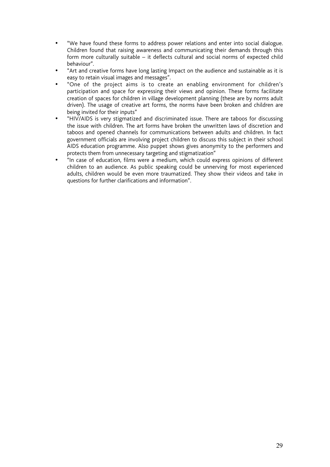"We have found these forms to address power relations and enter into social dialogue. Children found that raising awareness and communicating their demands through this form more culturally suitable – it deflects cultural and social norms of expected child behaviour".

"Art and creative forms have long lasting Impact on the audience and sustainable as it is easy to retain visual images and messages".

"One of the project aims is to create an enabling environment for children's participation and space for expressing their views and opinion. These forms facilitate creation of spaces for children in village development planning (these are by norms adult driven). The usage of creative art forms, the norms have been broken and children are being invited for their inputs"

"HIV/AIDS is very stigmatized and discriminated issue. There are taboos for discussing the issue with children. The art forms have broken the unwritten laws of discretion and taboos and opened channels for communications between adults and children. In fact government officials are involving project children to discuss this subject in their school AIDS education programme. Also puppet shows gives anonymity to the performers and protects them from unnecessary targeting and stigmatization"

"In case of education, films were a medium, which could express opinions of different children to an audience. As public speaking could be unnerving for most experienced adults, children would be even more traumatized. They show their videos and take in questions for further clarifications and information".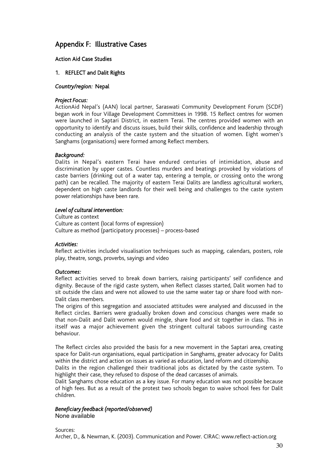## Appendix F: Illustrative Cases

### Action Aid Case Studies

### 1. REFLECT and Dalit Rights

### *Country/region:* Nepal

### *Project Focus:*

ActionAid Nepal's (AAN) local partner, Saraswati Community Development Forum (SCDF) began work in four Village Development Committees in 1998. 15 Reflect centres for women were launched in Saptari District, in eastern Terai. The centres provided women with an opportunity to identify and discuss issues, build their skills, confidence and leadership through conducting an analysis of the caste system and the situation of women. Eight women's Sanghams (organisations) were formed among Reflect members.

#### *Background:*

Dalits in Nepal's eastern Terai have endured centuries of intimidation, abuse and discrimination by upper castes. Countless murders and beatings provoked by violations of caste barriers (drinking out of a water tap, entering a temple, or crossing onto the wrong path) can be recalled. The majority of eastern Terai Dalits are landless agricultural workers, dependent on high caste landlords for their well being and challenges to the caste system power relationships have been rare.

#### *Level of cultural intervention:*

Culture as context Culture as content (local forms of expression) Culture as method (participatory processes) – process-based

### *Activities:*

Reflect activities included visualisation techniques such as mapping, calendars, posters, role play, theatre, songs, proverbs, sayings and video

### *Outcomes:*

Reflect activities served to break down barriers, raising participants' self confidence and dignity. Because of the rigid caste system, when Reflect classes started, Dalit women had to sit outside the class and were not allowed to use the same water tap or share food with non-Dalit class members.

The origins of this segregation and associated attitudes were analysed and discussed in the Reflect circles. Barriers were gradually broken down and conscious changes were made so that non-Dalit and Dalit women would mingle, share food and sit together in class. This in itself was a major achievement given the stringent cultural taboos surrounding caste behaviour.

The Reflect circles also provided the basis for a new movement in the Saptari area, creating space for Dalit-run organisations, equal participation in Sanghams, greater advocacy for Dalits within the district and action on issues as varied as education, land reform and citizenship.

Dalits in the region challenged their traditional jobs as dictated by the caste system. To highlight their case, they refused to dispose of the dead carcasses of animals.

Dalit Sanghams chose education as a key issue. For many education was not possible because of high fees. But as a result of the protest two schools began to waive school fees for Dalit children.

### *Beneficiary feedback (reported/observed)*

None available

### Sources:

Archer, D., & Newman, K. (2003). Communication and Power. CIRAC: www.reflect-action.org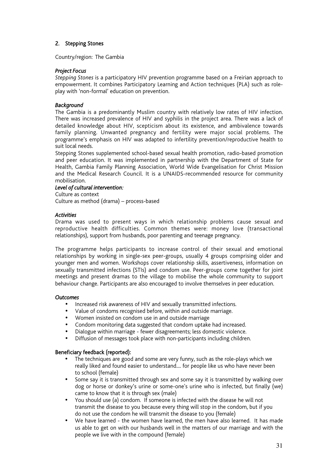### 2. Stepping Stones

Country/region: The Gambia

### *Project Focus*

*Stepping Stones* is a participatory HIV prevention programme based on a Freirian approach to empowerment. It combines Participatory Learning and Action techniques (PLA) such as roleplay with 'non-formal' education on prevention.

### *Background*

The Gambia is a predominantly Muslim country with relatively low rates of HIV infection. There was increased prevalence of HIV and syphilis in the project area. There was a lack of detailed knowledge about HIV, scepticism about its existence, and ambivalence towards family planning. Unwanted pregnancy and fertility were major social problems. The programme's emphasis on HIV was adapted to infertility prevention/reproductive health to suit local needs.

Stepping Stones supplemented school-based sexual health promotion, radio-based promotion and peer education. It was implemented in partnership with the Department of State for Health, Gambia Family Planning Association, World Wide Evangelisation for Christ Mission and the Medical Research Council. It is a UNAIDS-recommended resource for community mobilisation.

### *Level of cultural intervention:*

Culture as context Culture as method (drama) – process-based

### *Activities*

Drama was used to present ways in which relationship problems cause sexual and reproductive health difficulties. Common themes were: money love (transactional relationships), support from husbands, poor parenting and teenage pregnancy.

The programme helps participants to increase control of their sexual and emotional relationships by working in single-sex peer-groups, usually 4 groups comprising older and younger men and women. Workshops cover relationship skills, assertiveness, information on sexually transmitted infections (STIs) and condom use. Peer-groups come together for joint meetings and present dramas to the village to mobilise the whole community to support behaviour change. Participants are also encouraged to involve themselves in peer education.

### *Outcomes*

Increased risk awareness of HIV and sexually transmitted infections. Value of condoms recognised before, within and outside marriage. Women insisted on condom use in and outside marriage Condom monitoring data suggested that condom uptake had increased. Dialogue within marriage - fewer disagreements; less domestic violence. Diffusion of messages took place with non-participants including children.

### Beneficiary feedback (reported):

The techniques are good and some are very funny, such as the role-plays which we really liked and found easier to understand.... for people like us who have never been to school (female)

Some say it is transmitted through sex and some say it is transmitted by walking over dog or horse or donkey's urine or some-one's urine who is infected, but finally (we) came to know that it is through sex (male)

You should use (a) condom. If someone is infected with the disease he will not transmit the disease to you because every thing will stop in the condom, but if you do not use the condom he will transmit the disease to you (female)

We have learned - the women have learned, the men have also learned. It has made us able to get on with our husbands well in the matters of our marriage and with the people we live with in the compound (female)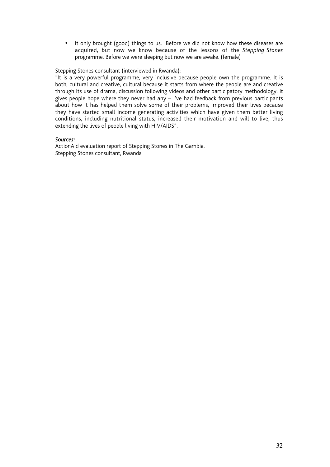It only brought (good) things to us. Before we did not know how these diseases are acquired, but now we know because of the lessons of the *Stepping Stones* programme. Before we were sleeping but now we are awake. (female)

Stepping Stones consultant (interviewed in Rwanda):

"It is a very powerful programme, very inclusive because people own the programme. It is both, cultural and creative, cultural because it starts from where the people are and creative through its use of drama, discussion following videos and other participatory methodology. It gives people hope where they never had any  $-1$ 've had feedback from previous participants about how it has helped them solve some of their problems, improved their lives because they have started small income generating activities which have given them better living conditions, including nutritional status, increased their motivation and will to live, thus extending the lives of people living with HIV/AIDS".

#### *Sources:*

ActionAid evaluation report of Stepping Stones in The Gambia. Stepping Stones consultant, Rwanda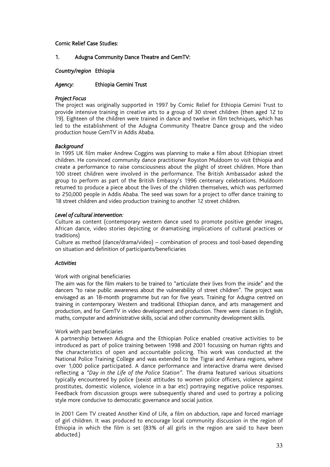### Comic Relief Case Studies:

### 1. Adugna Community Dance Theatre and GemTV:

### *Country/region* Ethiopia

### *Agency:* Ethiopia Gemini Trust

### *Project Focus*

The project was originally supported in 1997 by Comic Relief for Ethiopia Gemini Trust to provide intensive training in creative arts to a group of 30 street children (then aged 12 to 19). Eighteen of the children were trained in dance and twelve in film techniques, which has led to the establishment of the Adugna Community Theatre Dance group and the video production house GemTV in Addis Ababa.

### *Background*

In 1995 UK film maker Andrew Coggins was planning to make a film about Ethiopian street children. He convinced community dance practitioner Royston Muldoom to visit Ethiopia and create a performance to raise consciousness about the plight of street children. More than 100 street children were involved in the performance. The British Ambassador asked the group to perform as part of the British Embassy's 1996 centenary celebrations. Muldoom returned to produce a piece about the lives of the children themselves, which was performed to 250,000 people in Addis Ababa. The seed was sown for a project to offer dance training to 18 street children and video production training to another 12 street children.

### *Level of cultural intervention:*

Culture as content (contemporary western dance used to promote positive gender images, African dance, video stories depicting or dramatising implications of cultural practices or traditions)

Culture as method (dance/drama/video) – combination of process and tool-based depending on situation and definition of participants/beneficiaries

### *Activities*

### Work with original beneficiaries

The aim was for the film makers to be trained to "articulate their lives from the inside" and the dancers "to raise public awareness about the vulnerability of street children". The project was envisaged as an 18-month programme but ran for five years. Training for Adugna centred on training in contemporary Western and traditional Ethiopian dance, and arts management and production, and for GemTV in video development and production. There were classes in English, maths, computer and administrative skills, social and other community development skills.

### Work with past beneficiaries

A partnership between Adugna and the Ethiopian Police enabled creative activities to be introduced as part of police training between 1998 and 2001 focussing on human rights and the characteristics of open and accountable policing. This work was conducted at the National Police Training College and was extended to the Tigrai and Amhara regions, where over 1,000 police participated. A dance performance and interactive drama were devised reflecting a *"Day in the Life of the Police Station".* The drama featured various situations typically encountered by police (sexist attitudes to women police officers, violence against prostitutes, domestic violence, violence in a bar etc) portraying negative police responses. Feedback from discussion groups were subsequently shared and used to portray a policing style more conducive to democratic governance and social justice.

In 2001 Gem TV created Another Kind of Life, a film on abduction, rape and forced marriage of girl children. It was produced to encourage local community discussion in the region of Ethiopia in which the film is set (83% of all girls in the region are said to have been abducted.)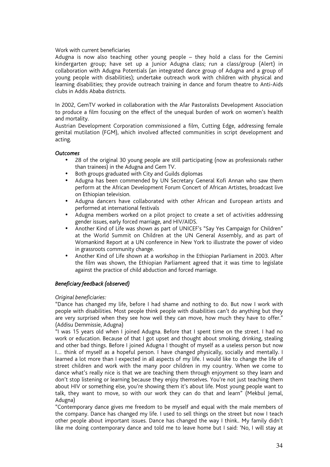#### Work with current beneficiaries

Adugna is now also teaching other young people – they hold a class for the Gemini kindergarten group; have set up a Junior Adugna class; run a class/group (Alert) in collaboration with Adugna Potentials (an integrated dance group of Adugna and a group of young people with disabilities); undertake outreach work with children with physical and learning disabilities; they provide outreach training in dance and forum theatre to Anti-Aids clubs in Addis Ababa districts.

In 2002, GemTV worked in collaboration with the Afar Pastoralists Development Association to produce a film focusing on the effect of the unequal burden of work on women's health and mortality.

Austrian Development Corporation commissioned a film, Cutting Edge, addressing female genital mutilation (FGM), which involved affected communities in script development and acting.

#### *Outcomes*

28 of the original 30 young people are still participating (now as professionals rather than trainees) in the Adugna and Gem TV.

Both groups graduated with City and Guilds diplomas

Adugna has been commended by UN Secretary General Kofi Annan who saw them perform at the African Development Forum Concert of African Artistes, broadcast live on Ethiopian television.

Adugna dancers have collaborated with other African and European artists and performed at international festivals

Adugna members worked on a pilot project to create a set of activities addressing gender issues, early forced marriage, and HIV/AIDS.

Another Kind of Life was shown as part of UNICEF's "Say Yes Campaign for Children" at the World Summit on Children at the UN General Assembly, and as part of Womankind Report at a UN conference in New York to illustrate the power of video in grassroots community change.

Another Kind of Life shown at a workshop in the Ethiopian Parliament in 2003. After the film was shown, the Ethiopian Parliament agreed that it was time to legislate against the practice of child abduction and forced marriage.

### *Beneficiary feedback (observed)*

### *Original beneficiaries:*

"Dance has changed my life, before I had shame and nothing to do. But now I work with people with disabilities. Most people think people with disabilities can't do anything but they are very surprised when they see how well they can move, how much they have to offer." (Addisu Demmissie, Adugna)

"I was 15 years old when I joined Adugna. Before that I spent time on the street. I had no work or education. Because of that I got upset and thought about smoking, drinking, stealing and other bad things. Before I joined Adugna I thought of myself as a useless person but now I… think of myself as a hopeful person. I have changed physically, socially and mentally. I learned a lot more than I expected in all aspects of my life. I would like to change the life of street children and work with the many poor children in my country. When we come to dance what's really nice is that we are teaching them through enjoyment so they learn and don't stop listening or learning because they enjoy themselves. You're not just teaching them about HIV or something else, you're showing them it's about life. Most young people want to talk, they want to move, so with our work they can do that and learn" (Mekbul Jemal, Adugna)

"Contemporary dance gives me freedom to be myself and equal with the male members of the company. Dance has changed my life. I used to sell things on the street but now I teach other people about important issues. Dance has changed the way I think.. My family didn't like me doing contemporary dance and told me to leave home but I said: 'No, I will stay at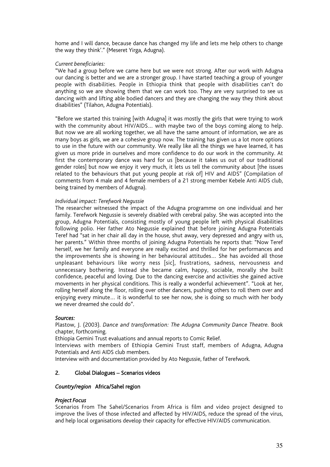home and I will dance, because dance has changed my life and lets me help others to change the way they think'." (Meseret Yirga, Adugna).

### *Current beneficiaries:*

"We had a group before we came here but we were not strong. After our work with Adugna our dancing is better and we are a stronger group. I have started teaching a group of younger people with disabilities. People in Ethiopia think that people with disabilities can't do anything so we are showing them that we can work too. They are very surprised to see us dancing with and lifting able bodied dancers and they are changing the way they think about disabilities" (Tilahon, Adugna Potentials).

"Before we started this training [with Adugna] it was mostly the girls that were trying to work with the community about HIV/AIDS… with maybe two of the boys coming along to help. But now we are all working together, we all have the same amount of information, we are as many boys as girls, we are a cohesive group now. The training has given us a lot more options to use in the future with our community. We really like all the things we have learned, it has given us more pride in ourselves and more confidence to do our work in the community. At first the contemporary dance was hard for us [because it takes us out of our traditional gender roles] but now we enjoy it very much, it lets us tell the community about [the issues related to the behaviours that put young people at risk of HIV and AIDS" (Compilation of comments from 4 male and 4 female members of a 21 strong member Kebele Anti AIDS club, being trained by members of Adugna).

### *Individual impact: Terefwork Negussie*

The researcher witnessed the impact of the Adugna programme on one individual and her family. Terefwork Negussie is severely disabled with cerebral palsy. She was accepted into the group, Adugna Potentials, consisting mostly of young people left with physical disabilities following polio. Her father Ato Negussie explained that before joining Adugna Potentials Teref had "sat in her chair all day in the house, shut away, very depressed and angry with us, her parents." Within three months of joining Adugna Potentials he reports that: "Now Teref herself, we her family and everyone are really excited and thrilled for her performances and the improvements she is showing in her behavioural attitudes… She has avoided all those unpleasant behaviours like worry ness [sic], frustrations, sadness, nervousness and unnecessary bothering. Instead she became calm, happy, sociable, morally she built confidence, peaceful and loving. Due to the dancing exercise and activities she gained active movements in her physical conditions. This is really a wonderful achievement". "Look at her, rolling herself along the floor, rolling over other dancers, pushing others to roll them over and enjoying every minute… it is wonderful to see her now, she is doing so much with her body we never dreamed she could do".

### *Sources:*

Plastow, J. (2003). *Dance and transformation: The Adugna Community Dance Theatre. Book* chapter, forthcoming.

Ethiopia Gemini Trust evaluations and annual reports to Comic Relief.

Interviews with members of Ethiopia Gemini Trust staff, members of Adugna, Adugna Potentials and Anti AIDS club members.

Interview with and documentation provided by Ato Negussie, father of Terefwork.

### 2. Global Dialogues – Scenarios videos

### *Country/region* Africa/Sahel region

### *Project Focus*

Scenarios From The Sahel/Scenarios From Africa is film and video project designed to improve the lives of those infected and affected by HIV/AIDS, reduce the spread of the virus, and help local organisations develop their capacity for effective HIV/AIDS communication.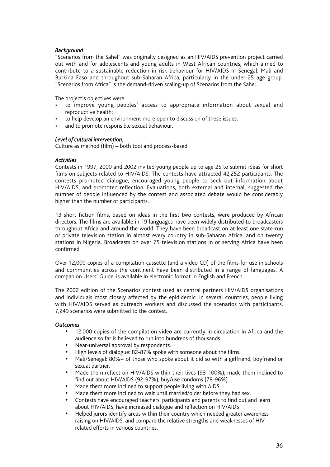### *Background*

"Scenarios from the Sahel" was originally designed as an HIV/AIDS prevention project carried out with and for adolescents and young adults in West African countries, which aimed to contribute to a sustainable reduction in risk behaviour for HIV/AIDS in Senegal, Mali and Burkina Faso and throughout sub-Saharan Africa, particularly in the under-25 age group. "Scenarios from Africa" is the demand-driven scaling-up of Scenarios from the Sahel.

The project's objectives were:

- to improve young peoples' access to appropriate information about sexual and reproductive health;
- to help develop an environment more open to discussion of these issues;
- and to promote responsible sexual behaviour.

#### *Level of cultural intervention:*

Culture as method (film) – both tool and process-based

#### *Activities*

Contests in 1997, 2000 and 2002 invited young people up to age 25 to submit ideas for short films on subjects related to HIV/AIDS. The contests have attracted 42,252 participants. The contests promoted dialogue, encouraged young people to seek out information about HIV/AIDS, and promoted reflection. Evaluations, both external and internal, suggested the number of people influenced by the contest and associated debate would be considerably higher than the number of participants.

13 short fiction films, based on ideas in the first two contests, were produced by African directors. The films are available in 19 languages have been widely distributed to broadcasters throughout Africa and around the world. They have been broadcast on at least one state-run or private television station in almost every country in sub-Saharan Africa, and on twenty stations in Nigeria. Broadcasts on over 75 television stations in or serving Africa have been confirmed.

Over 12,000 copies of a compilation cassette (and a video CD) of the films for use in schools and communities across the continent have been distributed in a range of languages. A companion Users' Guide, is available in electronic format in English and French.

The 2002 edition of the Scenarios contest used as central partners HIV/AIDS organisations and individuals most closely affected by the epididemic. In several countries, people living with HIV/AIDS served as outreach workers and discussed the scenarios with participants. 7,249 scenarios were submitted to the contest.

#### *Outcomes*

12,000 copies of the compilation video are currently in circulation in Africa and the audience so far is believed to run into hundreds of thousands.

Near-universal approval by respondents.

High levels of dialogue: 82-87% spoke with someone about the films.

- Mali/Senegal: 80%+ of those who spoke about it did so with a girlfriend, boyfriend or sexual partner.
- Made them reflect on HIV/AIDS within their lives (93-100%); made them inclined to find out about HIV/AIDS (92-97%); buy/use condoms (78-96%).

Made them more inclined to support people living with AIDS.

Made them more inclined to wait until married/older before they had sex.

Contests have encouraged teachers, participants and parents to find out and learn about HIV/AIDS; have increased dialogue and reflection on HIV/AIDS

Helped jurors identify areas within their country which needed greater awarenessraising on HIV/AIDS, and compare the relative strengths and weaknesses of HIVrelated efforts in various countries.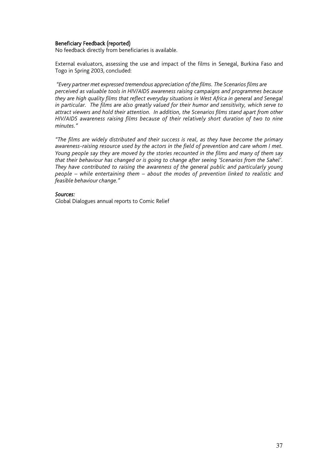### Beneficiary Feedback (reported)

No feedback directly from beneficiaries is available.

External evaluators, assessing the use and impact of the films in Senegal, Burkina Faso and Togo in Spring 2003, concluded:

 *"Every partner met expressed tremendous appreciation of the films. The Scenarios films are perceived as valuable tools in HIV/AIDS awareness raising campaigns and programmes because they are high quality films that reflect everyday situations in West Africa in general and Senegal in particular. The films are also greatly valued for their humor and sensitivity, which serve to attract viewers and hold their attention. In addition, the Scenarios films stand apart from other HIV/AIDS awareness raising films because of their relatively short duration of two to nine minutes."*

*"The films are widely distributed and their success is real, as they have become the primary awareness-raising resource used by the actors in the field of prevention and care whom I met. Young people say they are moved by the stories recounted in the films and many of them say that their behaviour has changed or is going to change after seeing 'Scenarios from the Sahel'. They have contributed to raising the awareness of the general public and particularly young people – while entertaining them – about the modes of prevention linked to realistic and feasible behaviour change."*

#### *Sources:*

Global Dialogues annual reports to Comic Relief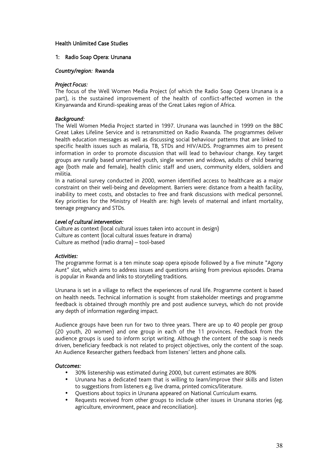### Health Unlimited Case Studies

#### 1: Radio Soap Opera: Urunana

#### *Country/region:* Rwanda

#### *Project Focus:*

The focus of the Well Women Media Project (of which the Radio Soap Opera Urunana is a part), is the sustained improvement of the health of conflict-affected women in the Kinyarwanda and Kirundi-speaking areas of the Great Lakes region of Africa.

### *Background:*

The Well Women Media Project started in 1997. Urunana was launched in 1999 on the BBC Great Lakes Lifeline Service and is retransmitted on Radio Rwanda. The programmes deliver health education messages as well as discussing social behaviour patterns that are linked to specific health issues such as malaria, TB, STDs and HIV/AIDS. Programmes aim to present information in order to promote discussion that will lead to behaviour change. Key target groups are rurally based unmarried youth, single women and widows, adults of child bearing age (both male and female), health clinic staff and users, community elders, soldiers and militia.

In a national survey conducted in 2000, women identified access to healthcare as a major constraint on their well-being and development. Barriers were: distance from a health facility, inability to meet costs, and obstacles to free and frank discussions with medical personnel. Key priorities for the Ministry of Health are: high levels of maternal and infant mortality, teenage pregnancy and STDs.

### *Level of cultural intervention:*

Culture as context (local cultural issues taken into account in design) Culture as content (local cultural issues feature in drama) Culture as method (radio drama) – tool-based

#### *Activities:*

The programme format is a ten minute soap opera episode followed by a five minute "Agony Aunt" slot, which aims to address issues and questions arising from previous episodes. Drama is popular in Rwanda and links to storytelling traditions.

Urunana is set in a village to reflect the experiences of rural life. Programme content is based on health needs. Technical information is sought from stakeholder meetings and programme feedback is obtained through monthly pre and post audience surveys, which do not provide any depth of information regarding impact.

Audience groups have been run for two to three years. There are up to 40 people per group (20 youth, 20 women) and one group in each of the 11 provinces. Feedback from the audience groups is used to inform script writing. Although the content of the soap is needs driven, beneficiary feedback is not related to project objectives, only the content of the soap. An Audience Researcher gathers feedback from listeners' letters and phone calls.

#### *Outcomes:*

30% listenership was estimated during 2000, but current estimates are 80% Urunana has a dedicated team that is willing to learn/improve their skills and listen to suggestions from listeners e.g. live drama, printed comics/literature. Questions about topics in Urunana appeared on National Curriculum exams. Requests received from other groups to include other issues in Urunana stories (eg. agriculture, environment, peace and reconciliation).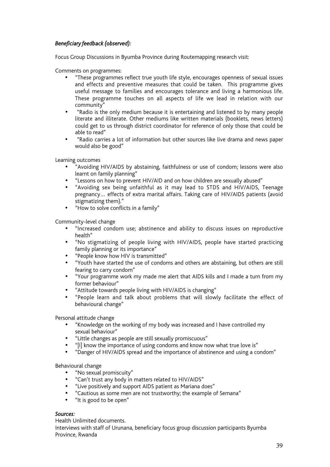### *Beneficiary feedback (observed):*

Focus Group Discussions in Byumba Province during Routemapping research visit:

Comments on programmes:

"These programmes reflect true youth life style, encourages openness of sexual issues and effects and preventive measures that could be taken. This programme gives useful message to families and encourages tolerance and living a harmonious life. These programme touches on all aspects of life we lead in relation with our community"

"Radio is the only medium because it is entertaining and listened to by many people literate and illiterate. Other mediums like written materials (booklets, news letters) could get to us through district coordinator for reference of only those that could be able to read"

"Radio carries a lot of information but other sources like live drama and news paper would also be good"

#### Learning outcomes

"Avoiding HIV/AIDS by abstaining, faithfulness or use of condom; lessons were also learnt on family planning"

"Lessons on how to prevent HIV/AID and on how children are sexually abused"

"Avoiding sex being unfaithful as it may lead to STDS and HIV/AIDS, Teenage pregnancy… effects of extra marital affairs. Taking care of HIV/AIDS patients (avoid stigmatizing them)."

"How to solve conflicts in a family"

### Community-level change

"Increased condom use; abstinence and ability to discuss issues on reproductive health"

"No stigmatizing of people living with HIV/AIDS, people have started practicing family planning or its importance"

"People know how HIV is transmitted"

"Youth have started the use of condoms and others are abstaining, but others are still fearing to carry condom"

"Your programme work my made me alert that AIDS kills and I made a turn from my former behaviour"

"Attitude towards people living with HIV/AIDS is changing"

"People learn and talk about problems that will slowly facilitate the effect of behavioural change"

### Personal attitude change

"Knowledge on the working of my body was increased and I have controlled my sexual behaviour"

"Little changes as people are still sexually promiscuous"

"[I] know the importance of using condoms and know now what true love is"

"Danger of HIV/AIDS spread and the importance of abstinence and using a condom"

### Behavioural change

"No sexual promiscuity"

"Can't trust any body in matters related to HIV/AIDS"

"Live positively and support AIDS patient as Mariana does"

"Cautious as some men are not trustworthy; the example of Semana"

"It is good to be open"

### *Sources:*

Health Unlimited documents.

Interviews with staff of Urunana, beneficiary focus group discussion participants Byumba Province, Rwanda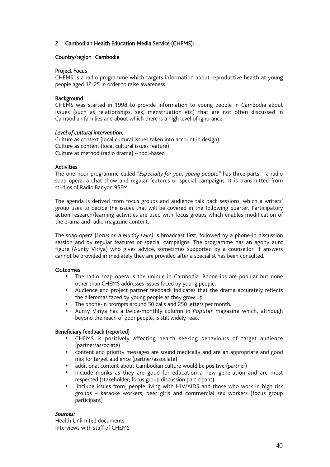### 2. Cambodian Health Education Media Service (CHEMS):

### Country/region Cambodia

#### Project Focus

CHEMS is a radio programme which targets information about reproductive health at young people aged 12-25 in order to raise awareness.

### Background

CHEMS was started in 1998 to provide information to young people in Cambodia about issues (such as relationships, sex, menstruation etc) that are not often discussed in Cambodian families and about which there is a high level of ignorance.

#### *Level of cultural intervention:*

Culture as context (local cultural issues taken into account in design) Culture as content (local cultural issues feature) Culture as method (radio drama) – tool-based

### Activities

The one-hour programme called "*Especially for you, young people"* has three parts – a radio soap opera, a chat show and regular features or special campaigns. It is transmitted from studios of Radio Banyon 95FM.

The agenda is derived from focus groups and audience talk back sessions, which a writers' group uses to decide the issues that will be covered in the following quarter. Participatory action research/learning activities are used with focus groups which enables modification of the drama and radio magazine content.

The soap opera (*Lotus on a Muddy Lake)* is broadcast first, followed by a phone-in discussion session and by regular features or special campaigns. The programme has an agony aunt figure (Aunty Viriya) who gives advice, sometimes supported by a counsellor. If answers cannot be provided immediately they are provided after a specialist has been consulted.

#### **Outcomes**

The radio soap opera is the unique in Cambodia. Phone-ins are popular but none other than CHEMS addresses issues faced by young people.

Audience and project partner feedback indicates that the drama accurately reflects the dilemmas faced by young people as they grow up.

The phone-in prompts around 50 calls and 250 letters per month.

Aunty Viriya has a twice-monthly column in *Popular* magazine which, although beyond the reach of poor people, is still widely read.

### Beneficiary feedback (reported)

CHEMS is positively affecting health seeking behaviours of target audience (partner/associate)

content and priority messages are sound medically and are an appropriate and good mix for target audience (partner/associate)

additional content about Cambodian culture would be positive (partner)

include monks as they are good for education a new generation and are most respected (stakeholder, focus group discussion participant)

[include issues from] people living with HIV/AIDS and those who work in high risk groups – karaoke workers, beer girls and commercial sex workers (focus group participant)

### *Sources:*

Health Unlimited documents Interviews with staff of CHEMS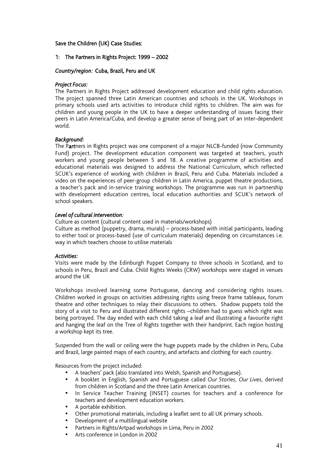### Save the Children (UK) Case Studies:

### 1: The P*art*ners in Rights Project: 1999 – 2002

### *Country/region:* Cuba, Brazil, Peru and UK

### *Project Focus:*

The P*art*ners in Rights Project addressed development education and child rights education. The project spanned three Latin American countries and schools in the UK. Workshops in primary schools used arts activities to introduce child rights to children. The aim was for children and young people in the UK to have a deeper understanding of issues facing their peers in Latin America/Cuba, and develop a greater sense of being part of an inter-dependent world.

#### *Background:*

The P*art*ners in Rights project was one component of a major NLCB-funded (now Community Fund) project. The development education component was targeted at teachers, youth workers and young people between 5 and 18. A creative programme of activities and educational materials was designed to address the National Curriculum, which reflected SCUK's experience of working with children in Brazil, Peru and Cuba. Materials included a video on the experiences of peer-group children in Latin America, puppet theatre productions, a teacher's pack and in-service training workshops. The programme was run in partnership with development education centres, local education authorities and SCUK's network of school speakers.

#### *Level of cultural intervention:*

Culture as content (cultural content used in materials/workshops)

Culture as method (puppetry, drama, murals) – process-based with initial participants, leading to either tool or process-based (use of curriculum materials) depending on circumstances i.e. way in which teachers choose to utilise materials

#### *Activities:*

Visits were made by the Edinburgh Puppet Company to three schools in Scotland, and to schools in Peru, Brazil and Cuba. Child Rights Weeks (CRW) workshops were staged in venues around the UK

Workshops involved learning some Portuguese, dancing and considering rights issues. Children worked in groups on activities addressing rights using freeze frame tableaux, forum theatre and other techniques to relay their discussions to others. Shadow puppets told the story of a visit to Peru and illustrated different rights –children had to guess which right was being portrayed. The day ended with each child taking a leaf and illustrating a favourite right and hanging the leaf on the Tree of Rights together with their handprint. Each region hosting a workshop kept its tree.

Suspended from the wall or ceiling were the huge puppets made by the children in Peru, Cuba and Brazil, large painted maps of each country, and artefacts and clothing for each country.

Resources from the project included:

A teachers' pack (also translated into Welsh, Spanish and Portuguese). A booklet in English, Spanish and Portuguese called *Our Stories, Our Lives*, derived from children in Scotland and the three Latin American countries. In Service Teacher Training (INSET) courses for teachers and a conference for teachers and development education workers. A portable exhibition. Other promotional materials, including a leaflet sent to all UK primary schools. Development of a multilingual website Partners in Rights/Artpad workshops in Lima, Peru in 2002 Arts conference in London in 2002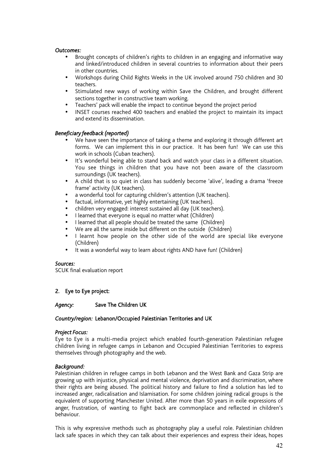#### *Outcomes:*

Brought concepts of children's rights to children in an engaging and informative way and linked/introduced children in several countries to information about their peers in other countries.

Workshops during Child Rights Weeks in the UK involved around 750 children and 30 teachers.

Stimulated new ways of working within Save the Children, and brought different sections together in constructive team working.

Teachers' pack will enable the impact to continue beyond the project period

INSET courses reached 400 teachers and enabled the project to maintain its impact and extend its dissemination.

### *Beneficiary feedback (reported)*

We have seen the importance of taking a theme and exploring it through different art forms. We can implement this in our practice. It has been fun! We can use this work in schools (Cuban teachers).

It's wonderful being able to stand back and watch your class in a different situation. You see things in children that you have not been aware of the classroom surroundings (UK teachers).

A child that is so quiet in class has suddenly become 'alive', leading a drama 'freeze frame' activity (UK teachers).

a wonderful tool for capturing children's attention (UK teachers).

factual, informative, yet highly entertaining (UK teachers).

children very engaged: interest sustained all day (UK teachers).

I learned that everyone is equal no matter what (Children)

I learned that all people should be treated the same (Children)

We are all the same inside but different on the outside (Children)

I learnt how people on the other side of the world are special like everyone (Children)

It was a wonderful way to learn about rights AND have fun! (Children)

### *Sources:*

SCUK final evaluation report

### 2. Eye to Eye project:

### *Agency:* Save The Children UK

#### *Country/region:* Lebanon/Occupied Palestinian Territories and UK

#### *Project Focus:*

Eye to Eye is a multi-media project which enabled fourth-generation Palestinian refugee children living in refugee camps in Lebanon and Occupied Palestinian Territories to express themselves through photography and the web.

### *Background:*

Palestinian children in refugee camps in both Lebanon and the West Bank and Gaza Strip are growing up with injustice, physical and mental violence, deprivation and discrimination, where their rights are being abused. The political history and failure to find a solution has led to increased anger, radicalisation and Islamisation. For some children joining radical groups is the equivalent of supporting Manchester United. After more than 50 years in exile expressions of anger, frustration, of wanting to fight back are commonplace and reflected in children's behaviour.

This is why expressive methods such as photography play a useful role. Palestinian children lack safe spaces in which they can talk about their experiences and express their ideas, hopes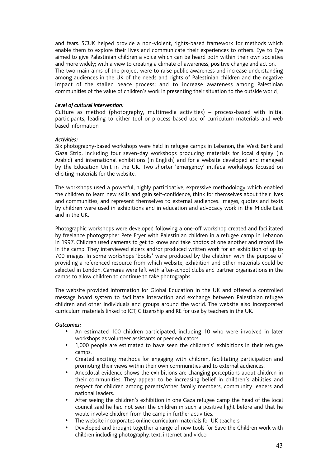and fears. SCUK helped provide a non-violent, rights-based framework for methods which enable them to explore their lives and communicate their experiences to others. Eye to Eye aimed to give Palestinian children a voice which can be heard both within their own societies and more widely; with a view to creating a climate of awareness, positive change and action. The two main aims of the project were to raise public awareness and increase understanding among audiences in the UK of the needs and rights of Palestinian children and the negative impact of the stalled peace process; and to increase awareness among Palestinian communities of the value of children's work in presenting their situation to the outside world.

#### *Level of cultural intervention:*

Culture as method (photography, multimedia activities) – process-based with initial participants, leading to either tool or process-based use of curriculum materials and web based information

### *Activities:*

Six photography-based workshops were held in refugee camps in Lebanon, the West Bank and Gaza Strip, including four seven-day workshops producing materials for local display (in Arabic) and international exhibitions (in English) and for a website developed and managed by the Education Unit in the UK. Two shorter 'emergency' intifada workshops focused on eliciting materials for the website.

The workshops used a powerful, highly participative, expressive methodology which enabled the children to learn new skills and gain self-confidence, think for themselves about their lives and communities, and represent themselves to external audiences. Images, quotes and texts by children were used in exhibitions and in education and advocacy work in the Middle East and in the UK.

Photographic workshops were developed following a one-off workshop created and facilitated by freelance photographer Pete Fryer with Palestinian children in a refugee camp in Lebanon in 1997. Children used cameras to get to know and take photos of one another and record life in the camp. They interviewed elders and/or produced written work for an exhibition of up to 700 images. In some workshops 'books' were produced by the children with the purpose of providing a referenced resource from which website, exhibition and other materials could be selected in London. Cameras were left with after-school clubs and partner organisations in the camps to allow children to continue to take photographs.

The website provided information for Global Education in the UK and offered a controlled message board system to facilitate interaction and exchange between Palestinian refugee children and other individuals and groups around the world. The website also incorporated curriculum materials linked to ICT, Citizenship and RE for use by teachers in the UK.

#### *Outcomes:*

An estimated 100 children participated, including 10 who were involved in later workshops as volunteer assistants or peer educators.

1,000 people are estimated to have seen the children's' exhibitions in their refugee camps.

Created exciting methods for engaging with children, facilitating participation and promoting their views within their own communities and to external audiences.

Anecdotal evidence shows the exhibitions are changing perceptions about children in their communities. They appear to be increasing belief in children's abilities and respect for children among parents/other family members, community leaders and national leaders.

After seeing the children's exhibition in one Gaza refugee camp the head of the local council said he had not seen the children in such a positive light before and that he would involve children from the camp in further activities.

The website incorporates online curriculum materials for UK teachers

Developed and brought together a range of new tools for Save the Children work with children including photography, text, internet and video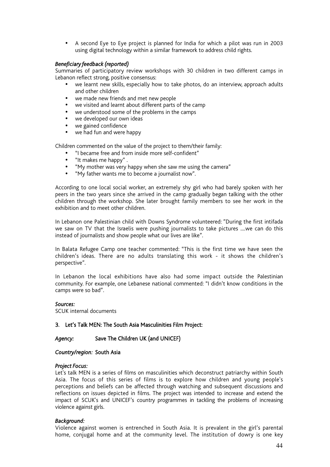A second Eye to Eye project is planned for India for which a pilot was run in 2003 using digital technology within a similar framework to address child rights.

### *Beneficiary feedback (reported)*

Summaries of participatory review workshops with 30 children in two different camps in Lebanon reflect strong, positive consensus:

we learnt new skills, especially how to take photos, do an interview, approach adults and other children

we made new friends and met new people

we visited and learnt about different parts of the camp

we understood some of the problems in the camps

we developed our own ideas

we gained confidence

we had fun and were happy

Children commented on the value of the project to them/their family:

"I became free and from inside more self-confident"

"It makes me happy" .

"My mother was very happy when she saw me using the camera"

"My father wants me to become a journalist now".

According to one local social worker, an extremely shy girl who had barely spoken with her peers in the two years since she arrived in the camp gradually began talking with the other children through the workshop. She later brought family members to see her work in the exhibition and to meet other children.

In Lebanon one Palestinian child with Downs Syndrome volunteered: "During the first intifada we saw on TV that the Israelis were pushing journalists to take pictures ....we can do this instead of journalists and show people what our lives are like".

In Balata Refugee Camp one teacher commented: "This is the first time we have seen the children's ideas. There are no adults translating this work - it shows the children's perspective".

In Lebanon the local exhibitions have also had some impact outside the Palestinian community. For example, one Lebanese national commented: "I didn't know conditions in the camps were so bad".

### *Sources:*

SCUK internal documents

### 3. Let's Talk MEN: The South Asia Masculinities Film Project:

### *Agency:* Save The Children UK (and UNICEF)

### *Country/region:* South Asia

### *Project Focus:*

Let's talk MEN is a series of films on masculinities which deconstruct patriarchy within South Asia. The focus of this series of films is to explore how children and young people's perceptions and beliefs can be affected through watching and subsequent discussions and reflections on issues depicted in films. The project was intended to increase and extend the impact of SCUK's and UNICEF's country programmes in tackling the problems of increasing violence against girls.

### *Background:*

Violence against women is entrenched in South Asia. It is prevalent in the girl's parental home, conjugal home and at the community level. The institution of dowry is one key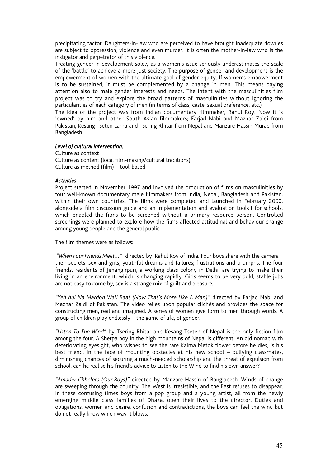precipitating factor. Daughters-in-law who are perceived to have brought inadequate dowries are subject to oppression, violence and even murder. It is often the mother-in-law who is the instigator and perpetrator of this violence.

Treating gender in development solely as a women's issue seriously underestimates the scale of the 'battle' to achieve a more just society. The purpose of gender and development is the empowerment of women with the ultimate goal of gender equity. If women's empowerment is to be sustained, it must be complemented by a change in men. This means paying attention also to male gender interests and needs. The intent with the masculinities film project was to try and explore the broad patterns of masculinities without ignoring the particularities of each category of men (in terms of class, caste, sexual preference, etc.)

The idea of the project was from Indian documentary filmmaker, Rahul Roy. Now it is 'owned' by him and other South Asian filmmakers; Farjad Nabi and Mazhar Zaidi from Pakistan, Kesang Tseten Lama and Tsering Rhitar from Nepal and Manzare Hassin Murad from Bangladesh.

### *Level of cultural intervention:*

Culture as context Culture as content (local film-making/cultural traditions) Culture as method (film) – tool-based

### *Activities*

Project started in November 1997 and involved the production of films on masculinities by four well-known documentary male filmmakers from India, Nepal, Bangladesh and Pakistan, within their own countries. The films were completed and launched in February 2000, alongside a film discussion guide and an implementation and evaluation toolkit for schools, which enabled the films to be screened without a primary resource person. Controlled screenings were planned to explore how the films affected attitudinal and behaviour change among young people and the general public.

The film themes were as follows:

 *"When Four Friends Meet…"* directed by Rahul Roy of India. Four boys share with the camera their secrets: sex and girls; youthful dreams and failures; frustrations and triumphs. The four friends, residents of Jehangirpuri, a working class colony in Delhi, are trying to make their living in an environment, which is changing rapidly. Girls seems to be very bold, stable jobs are not easy to come by, sex is a strange mix of guilt and pleasure.

*"Yeh hui Na Mardon Wali Baat (Now That's More Like A Man)"* directed by Farjad Nabi and Mazhar Zaidi of Pakistan. The video relies upon popular clichés and provides the space for constructing men, real and imagined. A series of women give form to men through words. A group of children play endlessly – the game of life, of gender.

*"Listen To The Wind"* by Tsering Rhitar and Kesang Tseten of Nepal is the only fiction film among the four. A Sherpa boy in the high mountains of Nepal is different. An old nomad with deteriorating eyesight, who wishes to see the rare Kalma Metok flower before he dies, is his best friend. In the face of mounting obstacles at his new school – bullying classmates, diminishing chances of securing a much-needed scholarship and the threat of expulsion from school, can he realise his friend's advice to Listen to the Wind to find his own answer?

*"Amader Chhelera (Our Boys)"* directed by Manzare Hassin of Bangladesh. Winds of change are sweeping through the country. The West is irresistible, and the East refuses to disappear. In these confusing times boys from a pop group and a young artist, all from the newly emerging middle class families of Dhaka, open their lives to the director. Duties and obligations, women and desire, confusion and contradictions, the boys can feel the wind but do not really know which way it blows.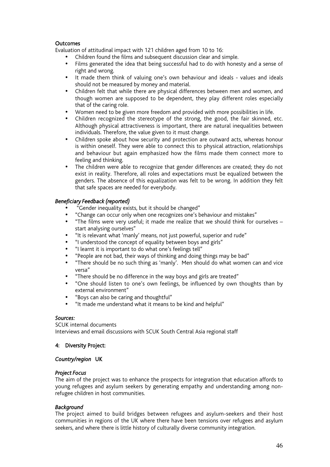#### **Outcomes**

Evaluation of attitudinal impact with 121 children aged from 10 to 16:

Children found the films and subsequent discussion clear and simple.

Films generated the idea that being successful had to do with honesty and a sense of right and wrong.

It made them think of valuing one's own behaviour and ideals - values and ideals should not be measured by money and material.

Children felt that while there are physical differences between men and women, and though women are supposed to be dependent, they play different roles especially that of the caring role.

Women need to be given more freedom and provided with more possibilities in life.

Children recognized the stereotype of the strong, the good, the fair skinned, etc. Although physical attractiveness is important, there are natural inequalities between individuals. Therefore, the value given to it must change.

Children spoke about how security and protection are outward acts, whereas honour is within oneself. They were able to connect this to physical attraction, relationships and behaviour but again emphasized how the films made them connect more to feeling and thinking.

The children were able to recognize that gender differences are created; they do not exist in reality. Therefore, all roles and expectations must be equalized between the genders. The absence of this equalization was felt to be wrong. In addition they felt that safe spaces are needed for everybody.

### *Beneficiary Feedback (reported)*

"Gender inequality exists, but it should be changed"

"Change can occur only when one recognizes one's behaviour and mistakes"

"The films were very useful; it made me realize that we should think for ourselves – start analysing ourselves"

"It is relevant what 'manly' means, not just powerful, superior and rude"

"I understood the concept of equality between boys and girls"

"I learnt it is important to do what one's feelings tell"

"People are not bad, their ways of thinking and doing things may be bad"

"There should be no such thing as 'manly'. Men should do what women can and vice versa"

"There should be no difference in the way boys and girls are treated"

"One should listen to one's own feelings, be influenced by own thoughts than by external environment"

"Boys can also be caring and thoughtful"

"It made me understand what it means to be kind and helpful"

### *Sources:*

SCUK internal documents Interviews and email discussions with SCUK South Central Asia regional staff

#### 4: Diversity Project:

#### *Country/region* UK

#### *Project Focus*

The aim of the project was to enhance the prospects for integration that education affords to young refugees and asylum seekers by generating empathy and understanding among nonrefugee children in host communities.

#### *Background*

The project aimed to build bridges between refugees and asylum-seekers and their host communities in regions of the UK where there have been tensions over refugees and asylum seekers, and where there is little history of culturally diverse community integration.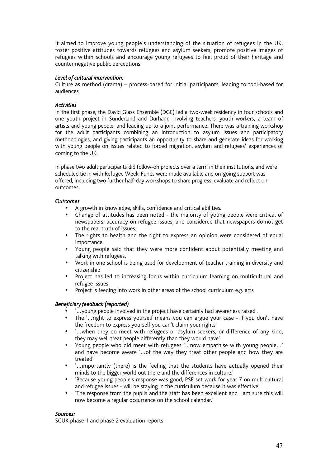It aimed to improve young people's understanding of the situation of refugees in the UK, foster positive attitudes towards refugees and asylum seekers, promote positive images of refugees within schools and encourage young refugees to feel proud of their heritage and counter negative public perceptions

### *Level of cultural intervention:*

Culture as method (drama) – process-based for initial participants, leading to tool-based for audiences

#### *Activities*

In the first phase, the David Glass Ensemble (DGE) led a two-week residency in four schools and one youth project in Sunderland and Durham, involving teachers, youth workers, a team of artists and young people, and leading up to a joint performance. There was a training workshop for the adult participants combining an introduction to asylum issues and participatory methodologies, and giving participants an opportunity to share and generate ideas for working with young people on issues related to forced migration, asylum and refugees' experiences of coming to the UK.

In phase two adult participants did follow-on projects over a term in their institutions, and were scheduled tie in with Refugee Week. Funds were made available and on-going support was offered, including two further half-day workshops to share progress, evaluate and reflect on outcomes.

#### *Outcomes*

A growth in knowledge, skills, confidence and critical abilities.

Change of attitudes has been noted - the majority of young people were critical of newspapers' accuracy on refugee issues, and considered that newspapers do not get to the real truth of issues.

The rights to health and the right to express an opinion were considered of equal importance*.*

Young people said that they were more confident about potentially meeting and talking with refugees.

Work in one school is being used for development of teacher training in diversity and citizenship

Project has led to increasing focus within curriculum learning on multicultural and refugee issues

Project is feeding into work in other areas of the school curriculum e.g. arts

### *Beneficiary feedback (reported)*

'…young people involved in the project have certainly had awareness raised'.

The '…right to express yourself means you can argue your case - if you don't have the freedom to express yourself you can't claim your rights'

'…when they do meet with refugees or asylum seekers, or difference of any kind, they may well treat people differently than they would have'.

Young people who did meet with refugees '…now empathise with young people…' and have become aware '…of the way they treat other people and how they are treated'.

'…importantly (there) is the feeling that the students have actually opened their minds to the bigger world out there and the differences in culture.'

'Because young people's response was good, PSE set work for year 7 on multicultural and refugee issues - will be staying in the curriculum because it was effective.'

'The response from the pupils and the staff has been excellent and I am sure this will now become a regular occurrence on the school calendar.'

### *Sources:*

SCUK phase 1 and phase 2 evaluation reports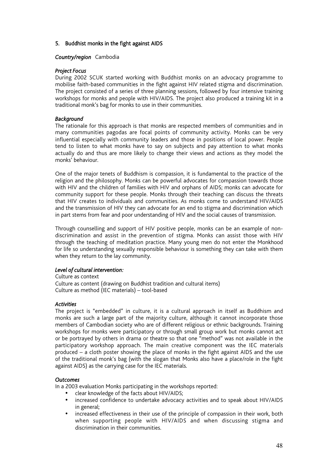### 5. Buddhist monks in the fight against AIDS

#### *Country/region* Cambodia

#### *Project Focus*

During 2002 SCUK started working with Buddhist monks on an advocacy programme to mobilise faith-based communities in the fight against HIV related stigma and discrimination. The project consisted of a series of three planning sessions, followed by four intensive training workshops for monks and people with HIV/AIDS. The project also produced a training kit in a traditional monk's bag for monks to use in their communities.

### *Background*

The rationale for this approach is that monks are respected members of communities and in many communities pagodas are focal points of community activity. Monks can be very influential especially with community leaders and those in positions of local power. People tend to listen to what monks have to say on subjects and pay attention to what monks actually do and thus are more likely to change their views and actions as they model the monks' behaviour.

One of the major tenets of Buddhism is compassion, it is fundamental to the practice of the religion and the philosophy. Monks can be powerful advocates for compassion towards those with HIV and the children of families with HIV and orphans of AIDS; monks can advocate for community support for these people. Monks through their teaching can discuss the threats that HIV creates to individuals and communities. As monks come to understand HIV/AIDS and the transmission of HIV they can advocate for an end to stigma and discrimination which in part stems from fear and poor understanding of HIV and the social causes of transmission.

Through counselling and support of HIV positive people, monks can be an example of nondiscrimination and assist in the prevention of stigma. Monks can assist those with HIV through the teaching of meditation practice. Many young men do not enter the Monkhood for life so understanding sexually responsible behaviour is something they can take with them when they return to the lay community.

### *Level of cultural intervention:*

Culture as context Culture as content (drawing on Buddhist tradition and cultural items) Culture as method (IEC materials) – tool-based

### *Activities*

The project is "embedded" in culture, it is a cultural approach in itself as Buddhism and monks are such a large part of the majority culture, although it cannot incorporate those members of Cambodian society who are of different religious or ethnic backgrounds. Training workshops for monks were participatory or through small group work but monks cannot act or be portrayed by others in drama or theatre so that one "method" was not available in the participatory workshop approach. The main creative component was the IEC materials produced – a cloth poster showing the place of monks in the fight against AIDS and the use of the traditional monk's bag (with the slogan that Monks also have a place/role in the fight against AIDS) as the carrying case for the IEC materials.

#### *Outcomes*

In a 2003 evaluation Monks participating in the workshops reported:

clear knowledge of the facts about HIV/AIDS;

increased confidence to undertake advocacy activities and to speak about HIV/AIDS in general;

increased effectiveness in their use of the principle of compassion in their work, both when supporting people with HIV/AIDS and when discussing stigma and discrimination in their communities.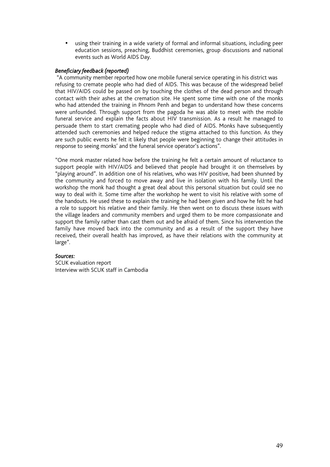using their training in a wide variety of formal and informal situations, including peer education sessions, preaching, Buddhist ceremonies, group discussions and national events such as World AIDS Day.

### *Beneficiary feedback (reported)*

 "A community member reported how one mobile funeral service operating in his district was refusing to cremate people who had died of AIDS. This was because of the widespread belief that HIV/AIDS could be passed on by touching the clothes of the dead person and through contact with their ashes at the cremation site. He spent some time with one of the monks who had attended the training in Phnom Penh and began to understand how these concerns were unfounded. Through support from the pagoda he was able to meet with the mobile funeral service and explain the facts about HIV transmission. As a result he managed to persuade them to start cremating people who had died of AIDS. Monks have subsequently attended such ceremonies and helped reduce the stigma attached to this function. As they are such public events he felt it likely that people were beginning to change their attitudes in response to seeing monks' and the funeral service operator's actions".

"One monk master related how before the training he felt a certain amount of reluctance to support people with HIV/AIDS and believed that people had brought it on themselves by "playing around". In addition one of his relatives, who was HIV positive, had been shunned by the community and forced to move away and live in isolation with his family. Until the workshop the monk had thought a great deal about this personal situation but could see no way to deal with it. Some time after the workshop he went to visit his relative with some of the handouts. He used these to explain the training he had been given and how he felt he had a role to support his relative and their family. He then went on to discuss these issues with the village leaders and community members and urged them to be more compassionate and support the family rather than cast them out and be afraid of them. Since his intervention the family have moved back into the community and as a result of the support they have received, their overall health has improved, as have their relations with the community at large"*.*

### *Sources:*

SCUK evaluation report Interview with SCUK staff in Cambodia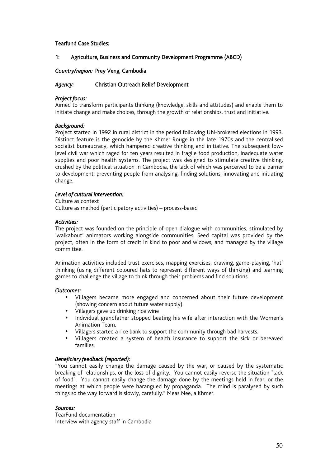### Tearfund Case Studies:

### 1: Agriculture, Business and Community Development Programme (ABCD)

### *Country/region:* Prey Veng, Cambodia

### *Agency:* Christian Outreach Relief Development

### *Project focus:*

Aimed to transform participants thinking (knowledge, skills and attitudes) and enable them to initiate change and make choices, through the growth of relationships, trust and initiative.

### *Background:*

Project started in 1992 in rural district in the period following UN-brokered elections in 1993. Distinct feature is the genocide by the Khmer Rouge in the late 1970s and the centralised socialist bureaucracy, which hampered creative thinking and initiative. The subsequent lowlevel civil war which raged for ten years resulted in fragile food production, inadequate water supplies and poor health systems. The project was designed to stimulate creative thinking, crushed by the political situation in Cambodia, the lack of which was perceived to be a barrier to development, preventing people from analysing, finding solutions, innovating and initiating change.

### *Level of cultural intervention:*

Culture as context Culture as method (participatory activities) – process-based

### *Activities:*

The project was founded on the principle of open dialogue with communities, stimulated by 'walkabout' animators working alongside communities. Seed capital was provided by the project, often in the form of credit in kind to poor and widows, and managed by the village committee.

Animation activities included trust exercises, mapping exercises, drawing, game-playing, 'hat' thinking (using different coloured hats to represent different ways of thinking) and learning games to challenge the village to think through their problems and find solutions.

### *Outcomes:*

Villagers became more engaged and concerned about their future development (showing concern about future water supply).

Villagers gave up drinking rice wine

Individual grandfather stopped beating his wife after interaction with the Women's Animation Team.

Villagers started a rice bank to support the community through bad harvests.

Villagers created a system of health insurance to support the sick or bereaved families.

### *Beneficiary feedback (reported):*

"You cannot easily change the damage caused by the war, or caused by the systematic breaking of relationships, or the loss of dignity. You cannot easily reverse the situation "lack of food". You cannot easily change the damage done by the meetings held in fear, or the meetings at which people were harangued by propaganda. The mind is paralysed by such things so the way forward is slowly, carefully." Meas Nee, a Khmer.

### *Sources:*

TearFund documentation Interview with agency staff in Cambodia